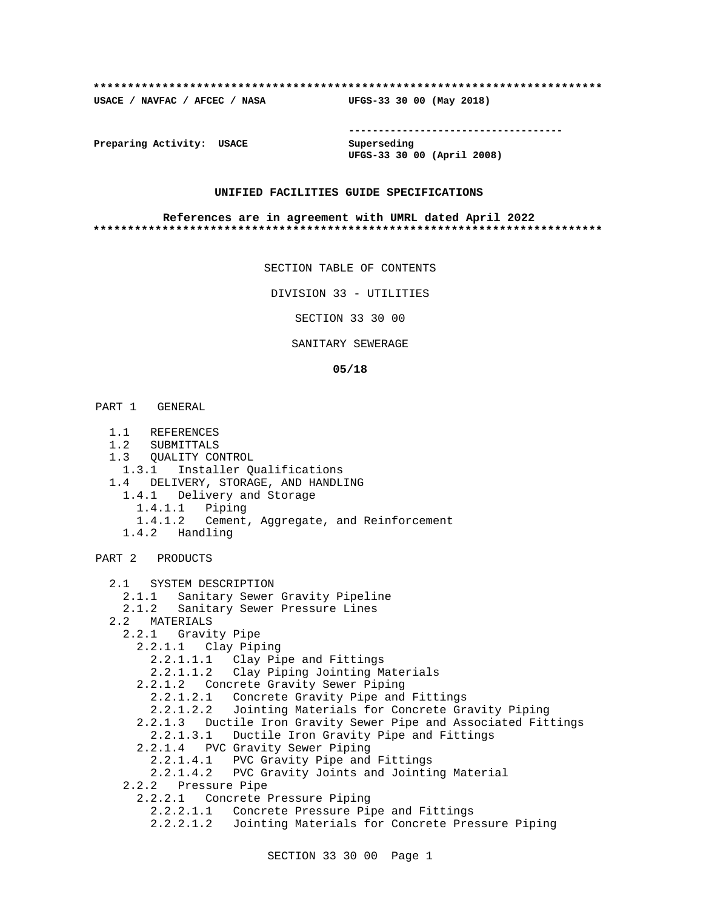#### **\*\*\*\*\*\*\*\*\*\*\*\*\*\*\*\*\*\*\*\*\*\*\*\*\*\*\*\*\*\*\*\*\*\*\*\*\*\*\*\*\*\*\*\*\*\*\*\*\*\*\*\*\*\*\*\*\*\*\*\*\*\*\*\*\*\*\*\*\*\*\*\*\*\***

**USACE / NAVFAC / AFCEC / NASA UFGS-33 30 00 (May 2018)**

**------------------------------------**

**Preparing Activity: USACE Superseding**

**UFGS-33 30 00 (April 2008)**

## **UNIFIED FACILITIES GUIDE SPECIFICATIONS**

#### **References are in agreement with UMRL dated April 2022 \*\*\*\*\*\*\*\*\*\*\*\*\*\*\*\*\*\*\*\*\*\*\*\*\*\*\*\*\*\*\*\*\*\*\*\*\*\*\*\*\*\*\*\*\*\*\*\*\*\*\*\*\*\*\*\*\*\*\*\*\*\*\*\*\*\*\*\*\*\*\*\*\*\***

SECTION TABLE OF CONTENTS

DIVISION 33 - UTILITIES

SECTION 33 30 00

## SANITARY SEWERAGE

#### **05/18**

PART 1 GENERAL

- 1.1 REFERENCES
- 1.2 SUBMITTALS
- 1.3 QUALITY CONTROL
- 1.3.1 Installer Qualifications
- 1.4 DELIVERY, STORAGE, AND HANDLING
- 1.4.1 Delivery and Storage 1.4.1.1 Piping 1.4.1.2 Cement, Aggregate, and Reinforcement
	- 1.4.2 Handling

#### PART 2 PRODUCTS

 2.1 SYSTEM DESCRIPTION 2.1.1 Sanitary Sewer Gravity Pipeline 2.1.2 Sanitary Sewer Pressure Lines 2.2 MATERIALS 2.2.1 Gravity Pipe 2.2.1.1 Clay Piping 2.2.1.1.1 Clay Pipe and Fittings 2.2.1.1.2 Clay Piping Jointing Materials 2.2.1.2 Concrete Gravity Sewer Piping 2.2.1.2.1 Concrete Gravity Pipe and Fittings 2.2.1.2.2 Jointing Materials for Concrete Gravity Piping 2.2.1.3 Ductile Iron Gravity Sewer Pipe and Associated Fittings 2.2.1.3.1 Ductile Iron Gravity Pipe and Fittings 2.2.1.4 PVC Gravity Sewer Piping 2.2.1.4.1 PVC Gravity Pipe and Fittings 2.2.1.4.2 PVC Gravity Joints and Jointing Material 2.2.2 Pressure Pipe 2.2.2.1 Concrete Pressure Piping 2.2.2.1.1 Concrete Pressure Pipe and Fittings 2.2.2.1.2 Jointing Materials for Concrete Pressure Piping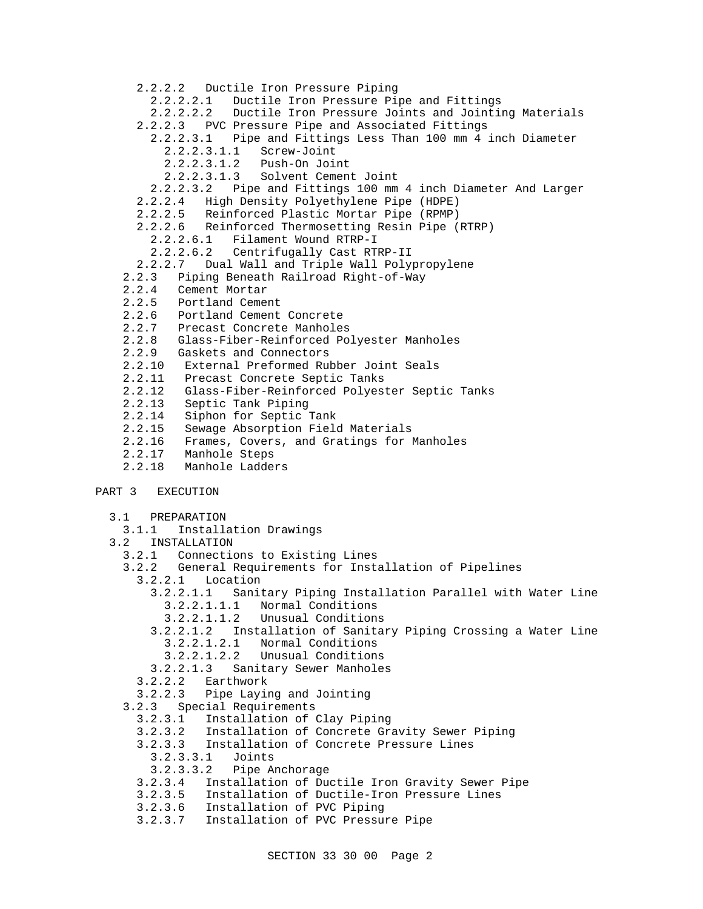```
 2.2.2.2 Ductile Iron Pressure Piping
         2.2.2.2.1 Ductile Iron Pressure Pipe and Fittings
         2.2.2.2.2 Ductile Iron Pressure Joints and Jointing Materials
       2.2.2.3 PVC Pressure Pipe and Associated Fittings
         2.2.2.3.1 Pipe and Fittings Less Than 100 mm 4 inch Diameter
           2.2.2.3.1.1 Screw-Joint
           2.2.2.3.1.2 Push-On Joint
           2.2.2.3.1.3 Solvent Cement Joint
         2.2.2.3.2 Pipe and Fittings 100 mm 4 inch Diameter And Larger
       2.2.2.4 High Density Polyethylene Pipe (HDPE)
       2.2.2.5 Reinforced Plastic Mortar Pipe (RPMP)
       2.2.2.6 Reinforced Thermosetting Resin Pipe (RTRP)
         2.2.2.6.1 Filament Wound RTRP-I
         2.2.2.6.2 Centrifugally Cast RTRP-II
       2.2.2.7 Dual Wall and Triple Wall Polypropylene
     2.2.3 Piping Beneath Railroad Right-of-Way
     2.2.4 Cement Mortar
     2.2.5 Portland Cement
     2.2.6 Portland Cement Concrete
     2.2.7 Precast Concrete Manholes
     2.2.8 Glass-Fiber-Reinforced Polyester Manholes
    2.2.9 Gaskets and Connectors
    2.2.10 External Preformed Rubber Joint Seals
    2.2.11 Precast Concrete Septic Tanks
    2.2.12 Glass-Fiber-Reinforced Polyester Septic Tanks
    2.2.13 Septic Tank Piping
    2.2.14 Siphon for Septic Tank
    2.2.15 Sewage Absorption Field Materials
    2.2.16 Frames, Covers, and Gratings for Manholes
     2.2.17 Manhole Steps
     2.2.18 Manhole Ladders
PART 3 EXECUTION
   3.1 PREPARATION
     3.1.1 Installation Drawings
   3.2 INSTALLATION
     3.2.1 Connections to Existing Lines
     3.2.2 General Requirements for Installation of Pipelines
       3.2.2.1 Location
         3.2.2.1.1 Sanitary Piping Installation Parallel with Water Line
           3.2.2.1.1.1 Normal Conditions
           3.2.2.1.1.2 Unusual Conditions
         3.2.2.1.2 Installation of Sanitary Piping Crossing a Water Line
           3.2.2.1.2.1 Normal Conditions
           3.2.2.1.2.2 Unusual Conditions
         3.2.2.1.3 Sanitary Sewer Manholes
       3.2.2.2 Earthwork
       3.2.2.3 Pipe Laying and Jointing
     3.2.3 Special Requirements
       3.2.3.1 Installation of Clay Piping
       3.2.3.2 Installation of Concrete Gravity Sewer Piping
       3.2.3.3 Installation of Concrete Pressure Lines
         3.2.3.3.1 Joints
         3.2.3.3.2 Pipe Anchorage
       3.2.3.4 Installation of Ductile Iron Gravity Sewer Pipe
       3.2.3.5 Installation of Ductile-Iron Pressure Lines
       3.2.3.6 Installation of PVC Piping
       3.2.3.7 Installation of PVC Pressure Pipe
```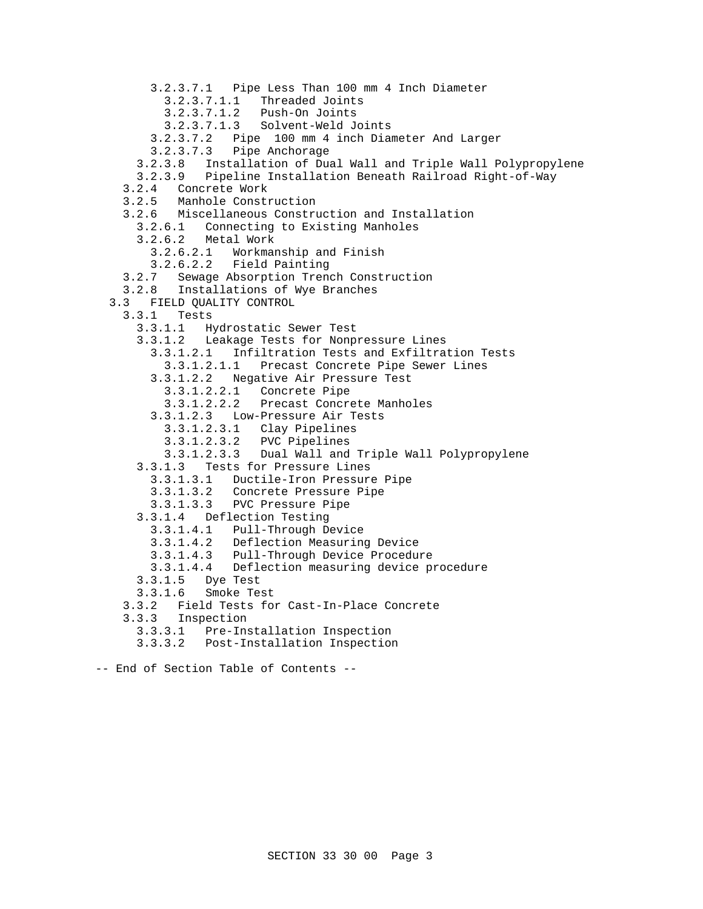3.2.3.7.1 Pipe Less Than 100 mm 4 Inch Diameter 3.2.3.7.1.1 Threaded Joints 3.2.3.7.1.2 Push-On Joints 3.2.3.7.1.3 Solvent-Weld Joints 3.2.3.7.2 Pipe 100 mm 4 inch Diameter And Larger 3.2.3.7.3 Pipe Anchorage 3.2.3.8 Installation of Dual Wall and Triple Wall Polypropylene 3.2.3.9 Pipeline Installation Beneath Railroad Right-of-Way 3.2.4 Concrete Work 3.2.5 Manhole Construction 3.2.6 Miscellaneous Construction and Installation 3.2.6.1 Connecting to Existing Manholes 3.2.6.2 Metal Work 3.2.6.2.1 Workmanship and Finish 3.2.6.2.2 Field Painting 3.2.7 Sewage Absorption Trench Construction 3.2.8 Installations of Wye Branches 3.3 FIELD QUALITY CONTROL 3.3.1 Tests 3.3.1.1 Hydrostatic Sewer Test 3.3.1.2 Leakage Tests for Nonpressure Lines 3.3.1.2.1 Infiltration Tests and Exfiltration Tests 3.3.1.2.1.1 Precast Concrete Pipe Sewer Lines 3.3.1.2.2 Negative Air Pressure Test 3.3.1.2.2.1 Concrete Pipe 3.3.1.2.2.2 Precast Concrete Manholes 3.3.1.2.3 Low-Pressure Air Tests 3.3.1.2.3.1 Clay Pipelines 3.3.1.2.3.2 PVC Pipelines 3.3.1.2.3.3 Dual Wall and Triple Wall Polypropylene 3.3.1.3 Tests for Pressure Lines 3.3.1.3.1 Ductile-Iron Pressure Pipe 3.3.1.3.2 Concrete Pressure Pipe 3.3.1.3.3 PVC Pressure Pipe 3.3.1.4 Deflection Testing 3.3.1.4.1 Pull-Through Device 3.3.1.4.2 Deflection Measuring Device 3.3.1.4.3 Pull-Through Device Procedure 3.3.1.4.4 Deflection measuring device procedure 3.3.1.5 Dye Test 3.3.1.6 Smoke Test 3.3.2 Field Tests for Cast-In-Place Concrete 3.3.3 Inspection 3.3.3.1 Pre-Installation Inspection 3.3.3.2 Post-Installation Inspection

-- End of Section Table of Contents --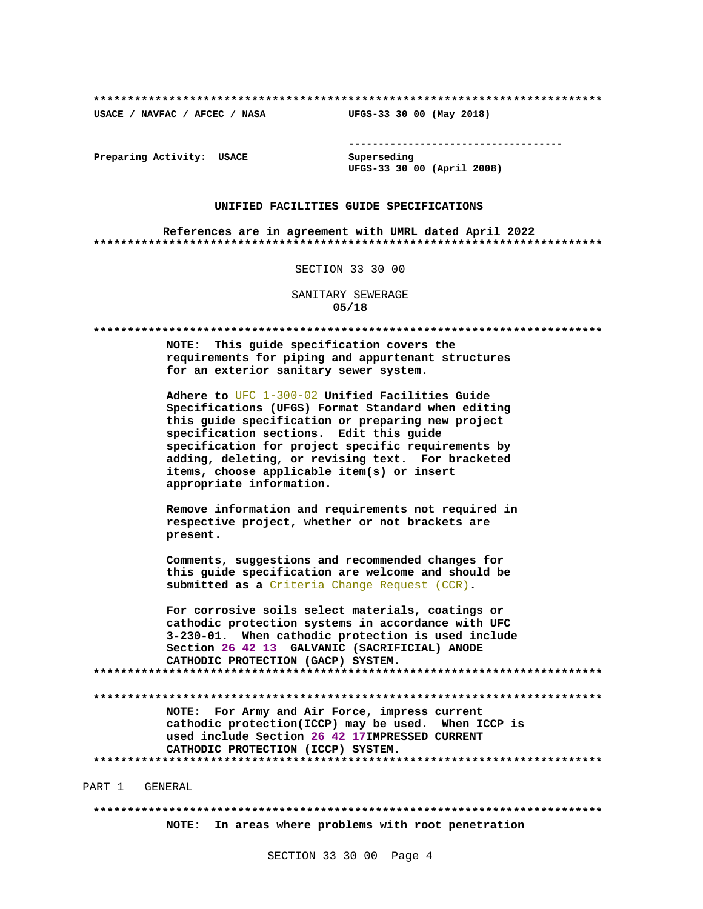USACE / NAVFAC / AFCEC / NASA

--------------------------------------

Preparing Activity: USACE

Superseding UFGS-33 30 00 (April 2008)

UFGS-33 30 00 (May 2018)

## UNIFIED FACILITIES GUIDE SPECIFICATIONS

References are in agreement with UMRL dated April 2022 

SECTION 33 30 00

SANITARY SEWERAGE  $05/18$ 

NOTE: This guide specification covers the requirements for piping and appurtenant structures for an exterior sanitary sewer system. Adhere to UFC 1-300-02 Unified Facilities Guide Specifications (UFGS) Format Standard when editing this guide specification or preparing new project specification sections. Edit this guide specification for project specific requirements by adding, deleting, or revising text. For bracketed items, choose applicable item(s) or insert appropriate information. Remove information and requirements not required in respective project, whether or not brackets are present. Comments, suggestions and recommended changes for this quide specification are welcome and should be submitted as a Criteria Change Request (CCR). For corrosive soils select materials, coatings or cathodic protection systems in accordance with UFC 3-230-01. When cathodic protection is used include Section 26 42 13 GALVANIC (SACRIFICIAL) ANODE CATHODIC PROTECTION (GACP) SYSTEM. NOTE: For Army and Air Force, impress current cathodic protection(ICCP) may be used. When ICCP is used include Section 26 42 17IMPRESSED CURRENT CATHODIC PROTECTION (ICCP) SYSTEM. PART 1 GENERAL

NOTE: In areas where problems with root penetration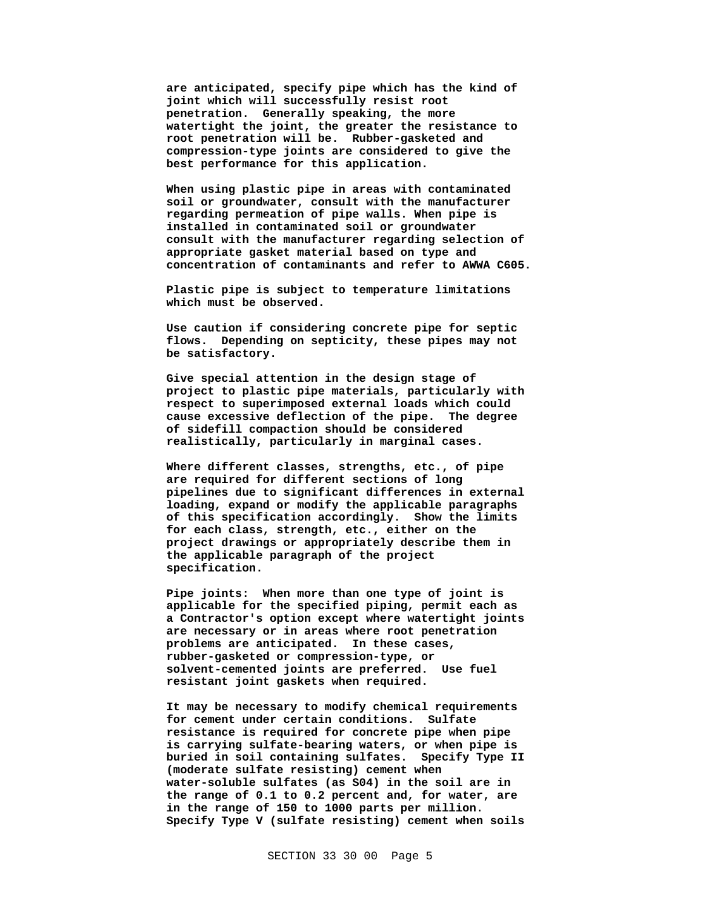**are anticipated, specify pipe which has the kind of joint which will successfully resist root penetration. Generally speaking, the more watertight the joint, the greater the resistance to root penetration will be. Rubber-gasketed and compression-type joints are considered to give the best performance for this application.**

**When using plastic pipe in areas with contaminated soil or groundwater, consult with the manufacturer regarding permeation of pipe walls. When pipe is installed in contaminated soil or groundwater consult with the manufacturer regarding selection of appropriate gasket material based on type and concentration of contaminants and refer to AWWA C605.**

**Plastic pipe is subject to temperature limitations which must be observed.**

**Use caution if considering concrete pipe for septic flows. Depending on septicity, these pipes may not be satisfactory.**

**Give special attention in the design stage of project to plastic pipe materials, particularly with respect to superimposed external loads which could cause excessive deflection of the pipe. The degree of sidefill compaction should be considered realistically, particularly in marginal cases.**

**Where different classes, strengths, etc., of pipe are required for different sections of long pipelines due to significant differences in external loading, expand or modify the applicable paragraphs of this specification accordingly. Show the limits for each class, strength, etc., either on the project drawings or appropriately describe them in the applicable paragraph of the project specification.**

**Pipe joints: When more than one type of joint is applicable for the specified piping, permit each as a Contractor's option except where watertight joints are necessary or in areas where root penetration problems are anticipated. In these cases, rubber-gasketed or compression-type, or solvent-cemented joints are preferred. Use fuel resistant joint gaskets when required.**

**It may be necessary to modify chemical requirements for cement under certain conditions. Sulfate resistance is required for concrete pipe when pipe is carrying sulfate-bearing waters, or when pipe is buried in soil containing sulfates. Specify Type II (moderate sulfate resisting) cement when water-soluble sulfates (as S04) in the soil are in the range of 0.1 to 0.2 percent and, for water, are in the range of 150 to 1000 parts per million. Specify Type V (sulfate resisting) cement when soils**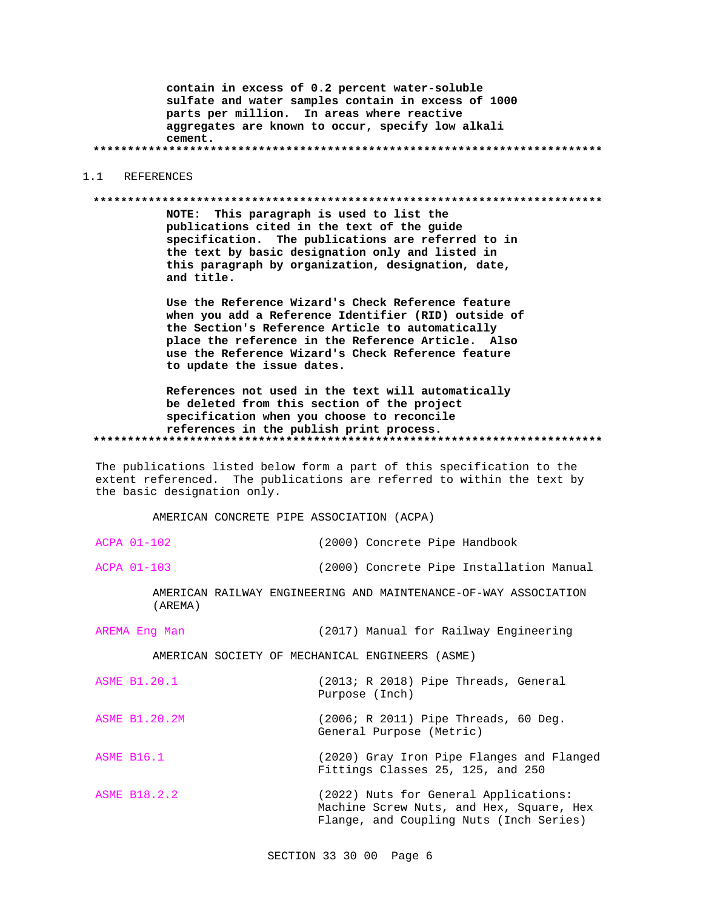contain in excess of 0.2 percent water-soluble sulfate and water samples contain in excess of 1000 parts per million. In areas where reactive aggregates are known to occur, specify low alkali cement.

## 1.1 REFERENCES

#### 

NOTE: This paragraph is used to list the publications cited in the text of the guide specification. The publications are referred to in the text by basic designation only and listed in this paragraph by organization, designation, date, and title.

Use the Reference Wizard's Check Reference feature when you add a Reference Identifier (RID) outside of the Section's Reference Article to automatically place the reference in the Reference Article. Also use the Reference Wizard's Check Reference feature to update the issue dates.

References not used in the text will automatically be deleted from this section of the project specification when you choose to reconcile references in the publish print process. 

The publications listed below form a part of this specification to the extent referenced. The publications are referred to within the text by the basic designation only.

AMERICAN CONCRETE PIPE ASSOCIATION (ACPA)

ACPA 01-102 (2000) Concrete Pipe Handbook

ACPA 01-103

(2000) Concrete Pipe Installation Manual

AMERICAN RAILWAY ENGINEERING AND MAINTENANCE-OF-WAY ASSOCIATION (AREMA)

AREMA Eng Man (2017) Manual for Railway Engineering

AMERICAN SOCIETY OF MECHANICAL ENGINEERS (ASME)

| ASME B1.20.1 |                |  | $(2013; R 2018)$ Pipe Threads, General |  |
|--------------|----------------|--|----------------------------------------|--|
|              | Purpose (Inch) |  |                                        |  |

(2006; R 2011) Pipe Threads, 60 Deg. **ASME B1.20.2M** General Purpose (Metric)

**ASME B16.1** (2020) Gray Iron Pipe Flanges and Flanged Fittings Classes 25, 125, and 250

ASME B18.2.2 (2022) Nuts for General Applications: Machine Screw Nuts, and Hex, Square, Hex Flange, and Coupling Nuts (Inch Series)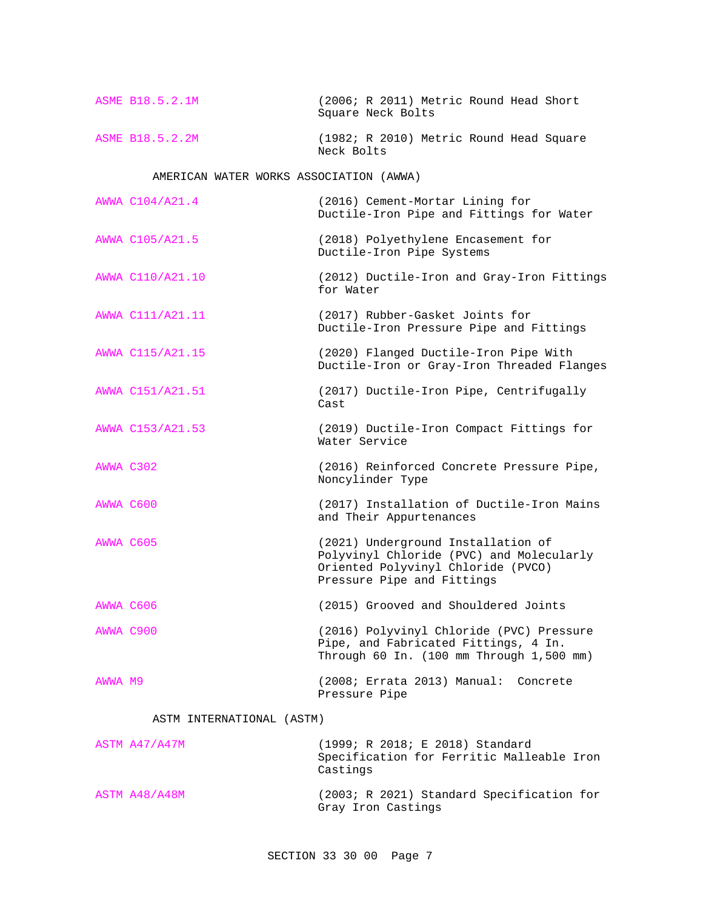| ASME B18.5.2.1M | Square Neck Bolts |  | (2006; R 2011) Metric Round Head Short  |  |  |
|-----------------|-------------------|--|-----------------------------------------|--|--|
| ASME B18.5.2.2M |                   |  | (1982; R 2010) Metric Round Head Square |  |  |

Neck Bolts

AMERICAN WATER WORKS ASSOCIATION (AWWA)

|           | AWWA C104/A21.4  | (2016) Cement-Mortar Lining for<br>Ductile-Iron Pipe and Fittings for Water                                                                        |
|-----------|------------------|----------------------------------------------------------------------------------------------------------------------------------------------------|
|           | AWWA C105/A21.5  | (2018) Polyethylene Encasement for<br>Ductile-Iron Pipe Systems                                                                                    |
|           | AWWA C110/A21.10 | (2012) Ductile-Iron and Gray-Iron Fittings<br>for Water                                                                                            |
|           | AWWA C111/A21.11 | (2017) Rubber-Gasket Joints for<br>Ductile-Iron Pressure Pipe and Fittings                                                                         |
|           | AWWA C115/A21.15 | (2020) Flanged Ductile-Iron Pipe With<br>Ductile-Iron or Gray-Iron Threaded Flanges                                                                |
|           | AWWA C151/A21.51 | (2017) Ductile-Iron Pipe, Centrifugally<br>Cast                                                                                                    |
|           | AWWA C153/A21.53 | (2019) Ductile-Iron Compact Fittings for<br>Water Service                                                                                          |
|           | AWWA C302        | (2016) Reinforced Concrete Pressure Pipe,<br>Noncylinder Type                                                                                      |
| AWWA C600 |                  | (2017) Installation of Ductile-Iron Mains<br>and Their Appurtenances                                                                               |
|           | AWWA C605        | (2021) Underground Installation of<br>Polyvinyl Chloride (PVC) and Molecularly<br>Oriented Polyvinyl Chloride (PVCO)<br>Pressure Pipe and Fittings |
|           | AWWA C606        | (2015) Grooved and Shouldered Joints                                                                                                               |
|           | AWWA C900        | (2016) Polyvinyl Chloride (PVC) Pressure<br>Pipe, and Fabricated Fittings, 4 In.<br>Through 60 In. (100 mm Through 1,500 mm)                       |
| AWWA M9   |                  | (2008; Errata 2013) Manual: Concrete<br>Pressure Pipe                                                                                              |

## ASTM INTERNATIONAL (ASTM)

| ASTM A47/A47M | (1999; R 2018; E 2018) Standard<br>Specification for Ferritic Malleable Iron<br>Castings |
|---------------|------------------------------------------------------------------------------------------|
| ASTM A48/A48M | (2003; R 2021) Standard Specification for<br>Gray Iron Castings                          |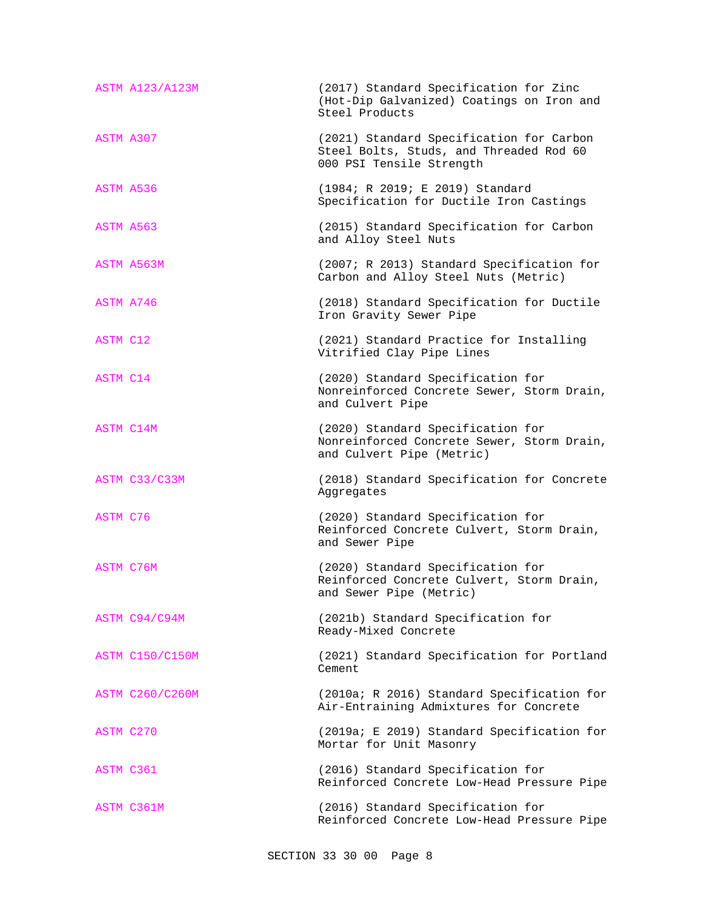| <b>ASTM A123/A123M</b> | (2017) Standard Specification for Zinc<br>(Hot-Dip Galvanized) Coatings on Iron and<br>Steel Products           |
|------------------------|-----------------------------------------------------------------------------------------------------------------|
| ASTM A307              | (2021) Standard Specification for Carbon<br>Steel Bolts, Studs, and Threaded Rod 60<br>000 PSI Tensile Strength |
| ASTM A536              | (1984; R 2019; E 2019) Standard<br>Specification for Ductile Iron Castings                                      |
| ASTM A563              | (2015) Standard Specification for Carbon<br>and Alloy Steel Nuts                                                |
| ASTM A563M             | (2007; R 2013) Standard Specification for<br>Carbon and Alloy Steel Nuts (Metric)                               |
| ASTM A746              | (2018) Standard Specification for Ductile<br>Iron Gravity Sewer Pipe                                            |
| ASTM C12               | (2021) Standard Practice for Installing<br>Vitrified Clay Pipe Lines                                            |
| ASTM C14               | (2020) Standard Specification for<br>Nonreinforced Concrete Sewer, Storm Drain,<br>and Culvert Pipe             |
| ASTM C14M              | (2020) Standard Specification for<br>Nonreinforced Concrete Sewer, Storm Drain,<br>and Culvert Pipe (Metric)    |
| ASTM C33/C33M          | (2018) Standard Specification for Concrete<br>Aggregates                                                        |
| ASTM C76               | (2020) Standard Specification for<br>Reinforced Concrete Culvert, Storm Drain,<br>and Sewer Pipe                |
| ASTM C76M              | (2020) Standard Specification for<br>Reinforced Concrete Culvert, Storm Drain,<br>and Sewer Pipe (Metric)       |
| ASTM C94/C94M          | (2021b) Standard Specification for<br>Ready-Mixed Concrete                                                      |
| <b>ASTM C150/C150M</b> | (2021) Standard Specification for Portland<br>Cement                                                            |
| <b>ASTM C260/C260M</b> | (2010a; R 2016) Standard Specification for<br>Air-Entraining Admixtures for Concrete                            |
| ASTM C270              | (2019a; E 2019) Standard Specification for<br>Mortar for Unit Masonry                                           |
| ASTM C361              | (2016) Standard Specification for<br>Reinforced Concrete Low-Head Pressure Pipe                                 |
| ASTM C361M             | (2016) Standard Specification for<br>Reinforced Concrete Low-Head Pressure Pipe                                 |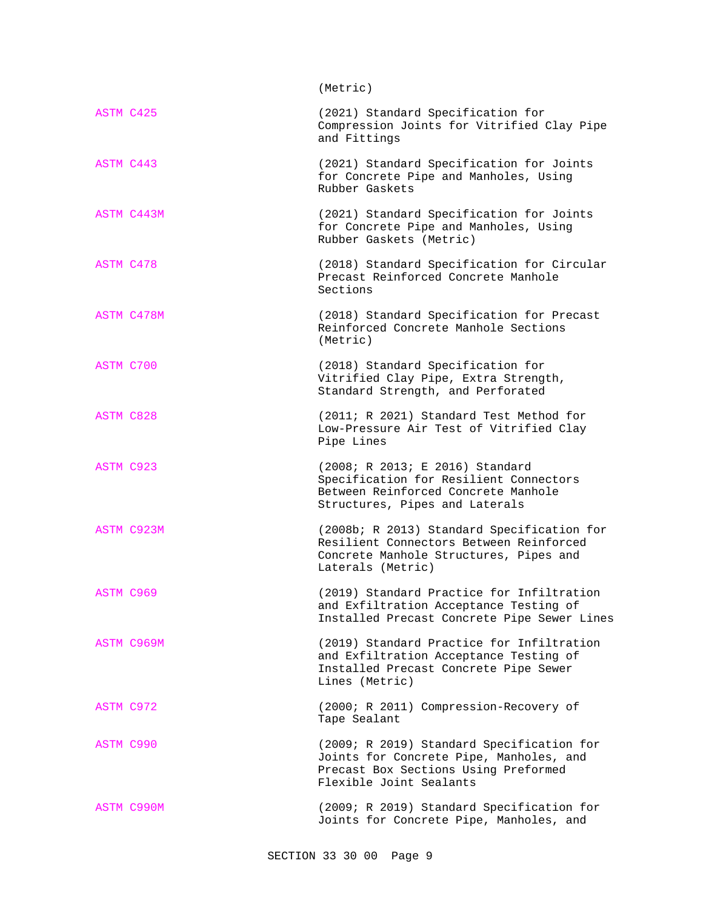|                  | (Metric)                                                                                                                                                |
|------------------|---------------------------------------------------------------------------------------------------------------------------------------------------------|
| ASTM C425        | (2021) Standard Specification for<br>Compression Joints for Vitrified Clay Pipe<br>and Fittings                                                         |
| ASTM C443        | (2021) Standard Specification for Joints<br>for Concrete Pipe and Manholes, Using<br>Rubber Gaskets                                                     |
| ASTM C443M       | (2021) Standard Specification for Joints<br>for Concrete Pipe and Manholes, Using<br>Rubber Gaskets (Metric)                                            |
| ASTM C478        | (2018) Standard Specification for Circular<br>Precast Reinforced Concrete Manhole<br>Sections                                                           |
| ASTM C478M       | (2018) Standard Specification for Precast<br>Reinforced Concrete Manhole Sections<br>(Metric)                                                           |
| ASTM C700        | (2018) Standard Specification for<br>Vitrified Clay Pipe, Extra Strength,<br>Standard Strength, and Perforated                                          |
| <b>ASTM C828</b> | (2011; R 2021) Standard Test Method for<br>Low-Pressure Air Test of Vitrified Clay<br>Pipe Lines                                                        |
| ASTM C923        | (2008; R 2013; E 2016) Standard<br>Specification for Resilient Connectors<br>Between Reinforced Concrete Manhole<br>Structures, Pipes and Laterals      |
| ASTM C923M       | (2008b; R 2013) Standard Specification for<br>Resilient Connectors Between Reinforced<br>Concrete Manhole Structures, Pipes and<br>Laterals (Metric)    |
| ASTM C969        | (2019) Standard Practice for Infiltration<br>and Exfiltration Acceptance Testing of<br>Installed Precast Concrete Pipe Sewer Lines                      |
| ASTM C969M       | (2019) Standard Practice for Infiltration<br>and Exfiltration Acceptance Testing of<br>Installed Precast Concrete Pipe Sewer<br>Lines (Metric)          |
| ASTM C972        | (2000; R 2011) Compression-Recovery of<br>Tape Sealant                                                                                                  |
| <b>ASTM C990</b> | (2009; R 2019) Standard Specification for<br>Joints for Concrete Pipe, Manholes, and<br>Precast Box Sections Using Preformed<br>Flexible Joint Sealants |
| ASTM C990M       | (2009; R 2019) Standard Specification for<br>Joints for Concrete Pipe, Manholes, and                                                                    |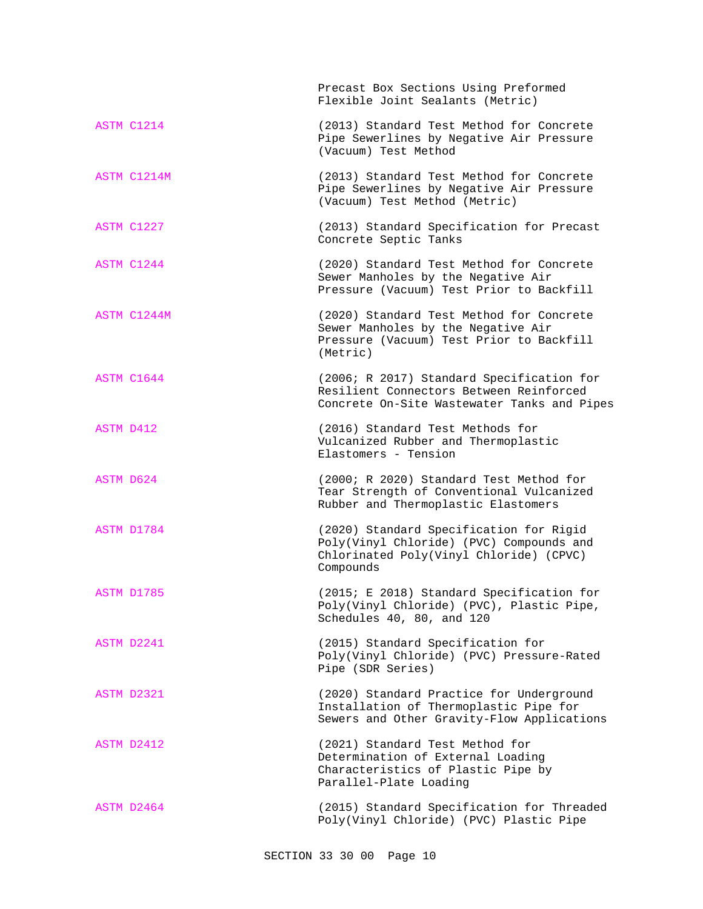|             | Precast Box Sections Using Preformed<br>Flexible Joint Sealants (Metric)                                                                    |
|-------------|---------------------------------------------------------------------------------------------------------------------------------------------|
| ASTM C1214  | (2013) Standard Test Method for Concrete<br>Pipe Sewerlines by Negative Air Pressure<br>(Vacuum) Test Method                                |
| ASTM C1214M | (2013) Standard Test Method for Concrete<br>Pipe Sewerlines by Negative Air Pressure<br>(Vacuum) Test Method (Metric)                       |
| ASTM C1227  | (2013) Standard Specification for Precast<br>Concrete Septic Tanks                                                                          |
| ASTM C1244  | (2020) Standard Test Method for Concrete<br>Sewer Manholes by the Negative Air<br>Pressure (Vacuum) Test Prior to Backfill                  |
| ASTM C1244M | (2020) Standard Test Method for Concrete<br>Sewer Manholes by the Negative Air<br>Pressure (Vacuum) Test Prior to Backfill<br>(Metric)      |
| ASTM C1644  | (2006; R 2017) Standard Specification for<br>Resilient Connectors Between Reinforced<br>Concrete On-Site Wastewater Tanks and Pipes         |
| ASTM D412   | (2016) Standard Test Methods for<br>Vulcanized Rubber and Thermoplastic<br>Elastomers - Tension                                             |
| ASTM D624   | (2000; R 2020) Standard Test Method for<br>Tear Strength of Conventional Vulcanized<br>Rubber and Thermoplastic Elastomers                  |
| ASTM D1784  | (2020) Standard Specification for Rigid<br>Poly(Vinyl Chloride) (PVC) Compounds and<br>Chlorinated Poly(Vinyl Chloride) (CPVC)<br>Compounds |
| ASTM D1785  | (2015; E 2018) Standard Specification for<br>Poly(Vinyl Chloride) (PVC), Plastic Pipe,<br>Schedules 40, 80, and 120                         |
| ASTM D2241  | (2015) Standard Specification for<br>Poly(Vinyl Chloride) (PVC) Pressure-Rated<br>Pipe (SDR Series)                                         |
| ASTM D2321  | (2020) Standard Practice for Underground<br>Installation of Thermoplastic Pipe for<br>Sewers and Other Gravity-Flow Applications            |
| ASTM D2412  | (2021) Standard Test Method for<br>Determination of External Loading<br>Characteristics of Plastic Pipe by<br>Parallel-Plate Loading        |
| ASTM D2464  | (2015) Standard Specification for Threaded<br>Poly(Vinyl Chloride) (PVC) Plastic Pipe                                                       |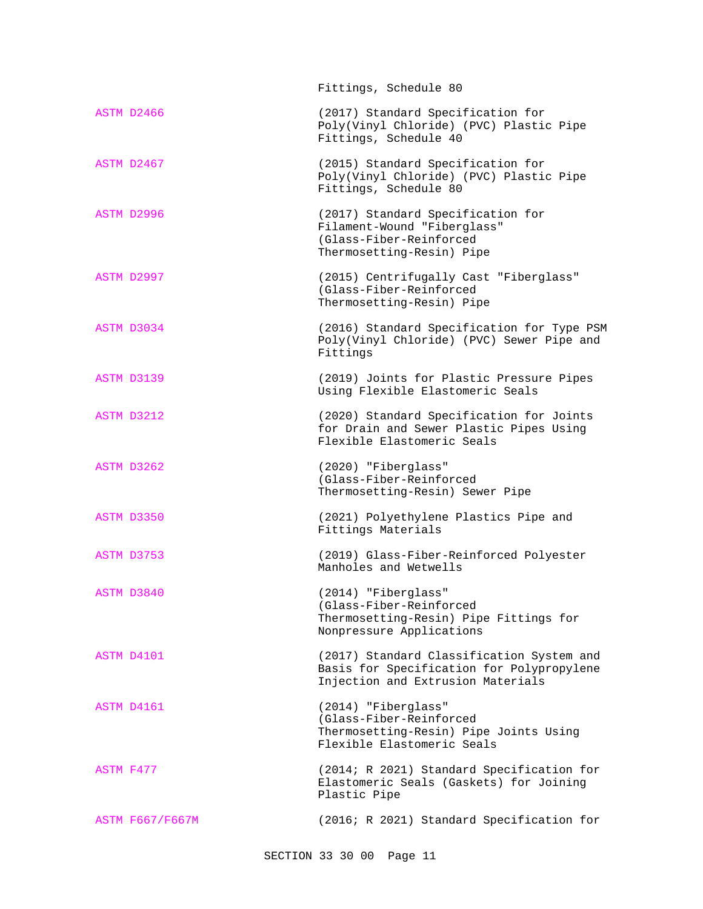|                        | Fittings, Schedule 80                                                                                                       |
|------------------------|-----------------------------------------------------------------------------------------------------------------------------|
| ASTM D2466             | (2017) Standard Specification for<br>Poly(Vinyl Chloride) (PVC) Plastic Pipe<br>Fittings, Schedule 40                       |
| ASTM D2467             | (2015) Standard Specification for<br>Poly(Vinyl Chloride) (PVC) Plastic Pipe<br>Fittings, Schedule 80                       |
| ASTM D2996             | (2017) Standard Specification for<br>Filament-Wound "Fiberglass"<br>(Glass-Fiber-Reinforced<br>Thermosetting-Resin) Pipe    |
| ASTM D2997             | (2015) Centrifugally Cast "Fiberglass"<br>(Glass-Fiber-Reinforced<br>Thermosetting-Resin) Pipe                              |
| ASTM D3034             | (2016) Standard Specification for Type PSM<br>Poly(Vinyl Chloride) (PVC) Sewer Pipe and<br>Fittings                         |
| ASTM D3139             | (2019) Joints for Plastic Pressure Pipes<br>Using Flexible Elastomeric Seals                                                |
| ASTM D3212             | (2020) Standard Specification for Joints<br>for Drain and Sewer Plastic Pipes Using<br>Flexible Elastomeric Seals           |
| ASTM D3262             | (2020) "Fiberglass"<br>(Glass-Fiber-Reinforced<br>Thermosetting-Resin) Sewer Pipe                                           |
| ASTM D3350             | (2021) Polyethylene Plastics Pipe and<br>Fittings Materials                                                                 |
| ASTM D3753             | (2019) Glass-Fiber-Reinforced Polyester<br>Manholes and Wetwells                                                            |
| ASTM D3840             | (2014) "Fiberglass"<br>(Glass-Fiber-Reinforced<br>Thermosetting-Resin) Pipe Fittings for<br>Nonpressure Applications        |
| ASTM D4101             | (2017) Standard Classification System and<br>Basis for Specification for Polypropylene<br>Injection and Extrusion Materials |
| ASTM D4161             | (2014) "Fiberglass"<br>(Glass-Fiber-Reinforced<br>Thermosetting-Resin) Pipe Joints Using<br>Flexible Elastomeric Seals      |
| ASTM F477              | (2014; R 2021) Standard Specification for<br>Elastomeric Seals (Gaskets) for Joining<br>Plastic Pipe                        |
| <b>ASTM F667/F667M</b> | (2016; R 2021) Standard Specification for                                                                                   |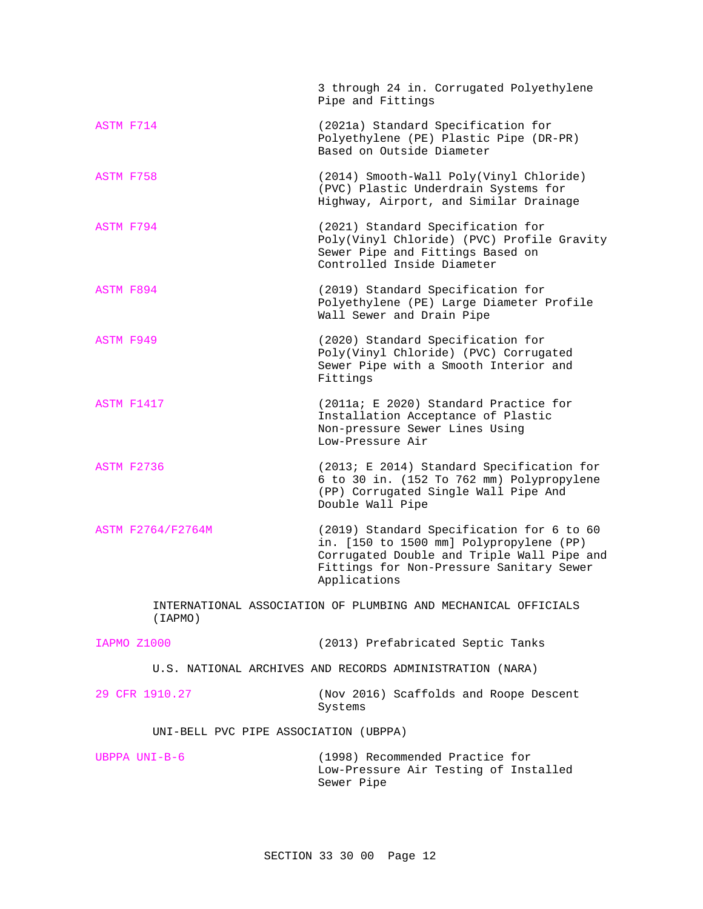|                                       | 3 through 24 in. Corrugated Polyethylene<br>Pipe and Fittings                                                                                                                                  |
|---------------------------------------|------------------------------------------------------------------------------------------------------------------------------------------------------------------------------------------------|
| ASTM F714                             | (2021a) Standard Specification for<br>Polyethylene (PE) Plastic Pipe (DR-PR)<br>Based on Outside Diameter                                                                                      |
| ASTM F758                             | (2014) Smooth-Wall Poly(Vinyl Chloride)<br>(PVC) Plastic Underdrain Systems for<br>Highway, Airport, and Similar Drainage                                                                      |
| ASTM F794                             | (2021) Standard Specification for<br>Poly(Vinyl Chloride) (PVC) Profile Gravity<br>Sewer Pipe and Fittings Based on<br>Controlled Inside Diameter                                              |
| ASTM F894                             | (2019) Standard Specification for<br>Polyethylene (PE) Large Diameter Profile<br>Wall Sewer and Drain Pipe                                                                                     |
| <b>ASTM F949</b>                      | (2020) Standard Specification for<br>Poly(Vinyl Chloride) (PVC) Corrugated<br>Sewer Pipe with a Smooth Interior and<br>Fittings                                                                |
| <b>ASTM F1417</b>                     | (2011a; E 2020) Standard Practice for<br>Installation Acceptance of Plastic<br>Non-pressure Sewer Lines Using<br>Low-Pressure Air                                                              |
| ASTM F2736                            | (2013; E 2014) Standard Specification for<br>6 to 30 in. (152 To 762 mm) Polypropylene<br>(PP) Corrugated Single Wall Pipe And<br>Double Wall Pipe                                             |
| ASTM F2764/F2764M                     | (2019) Standard Specification for 6 to 60<br>in. [150 to 1500 mm] Polypropylene (PP)<br>Corrugated Double and Triple Wall Pipe and<br>Fittings for Non-Pressure Sanitary Sewer<br>Applications |
| (IAPMO)                               | INTERNATIONAL ASSOCIATION OF PLUMBING AND MECHANICAL OFFICIALS                                                                                                                                 |
| IAPMO Z1000                           | (2013) Prefabricated Septic Tanks                                                                                                                                                              |
|                                       | U.S. NATIONAL ARCHIVES AND RECORDS ADMINISTRATION (NARA)                                                                                                                                       |
| 29 CFR 1910.27                        | (Nov 2016) Scaffolds and Roope Descent<br>Systems                                                                                                                                              |
| UNI-BELL PVC PIPE ASSOCIATION (UBPPA) |                                                                                                                                                                                                |
| UBPPA UNI-B-6                         | (1998) Recommended Practice for<br>Low-Pressure Air Testing of Installed<br>Sewer Pipe                                                                                                         |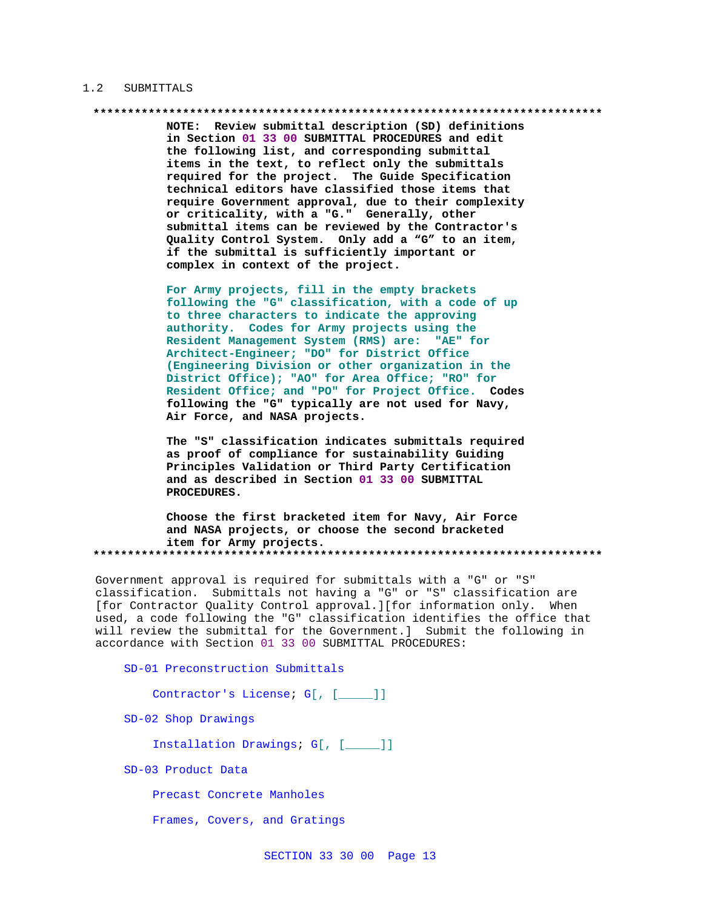## 1.2 SUBMITTALS

NOTE: Review submittal description (SD) definitions in Section 01 33 00 SUBMITTAL PROCEDURES and edit the following list, and corresponding submittal items in the text, to reflect only the submittals required for the project. The Guide Specification technical editors have classified those items that require Government approval, due to their complexity or criticality, with a "G." Generally, other submittal items can be reviewed by the Contractor's Quality Control System. Only add a "G" to an item, if the submittal is sufficiently important or complex in context of the project.

For Army projects, fill in the empty brackets following the "G" classification, with a code of up to three characters to indicate the approving authority. Codes for Army projects using the Resident Management System (RMS) are: "AE" for Architect-Engineer; "DO" for District Office (Engineering Division or other organization in the District Office); "AO" for Area Office; "RO" for Resident Office; and "PO" for Project Office. Codes following the "G" typically are not used for Navy, Air Force, and NASA projects.

The "S" classification indicates submittals required as proof of compliance for sustainability Guiding Principles Validation or Third Party Certification and as described in Section 01 33 00 SUBMITTAL PROCEDURES.

Choose the first bracketed item for Navy, Air Force and NASA projects, or choose the second bracketed item for Army projects. 

Government approval is required for submittals with a "G" or "S" classification. Submittals not having a "G" or "S" classification are [for Contractor Quality Control approval.][for information only. When used, a code following the "G" classification identifies the office that will review the submittal for the Government.] Submit the following in accordance with Section 01 33 00 SUBMITTAL PROCEDURES:

SD-01 Preconstruction Submittals

Contractor's License; G[, [ ]]

SD-02 Shop Drawings

Installation Drawings; G[, [\_\_\_\_]]

SD-03 Product Data

Precast Concrete Manholes

Frames, Covers, and Gratings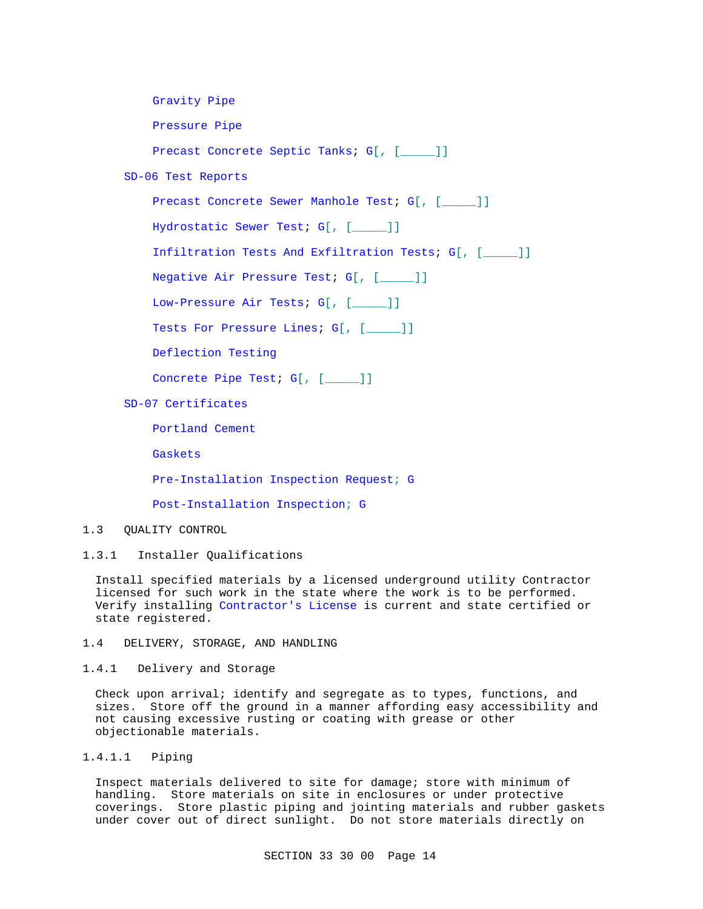Gravity Pipe

Pressure Pipe

Precast Concrete Septic Tanks; G[, [\_\_\_\_]]

SD-06 Test Reports

Precast Concrete Sewer Manhole Test; G[, [\_\_\_\_]]

Hydrostatic Sewer Test; G[, [\_\_\_\_]]

Infiltration Tests And Exfiltration Tests; G[, [\_\_\_\_\_]]

Negative Air Pressure Test; G[, [\_\_\_\_\_]]

Low-Pressure Air Tests; G[, [\_\_\_\_]]

Tests For Pressure Lines; G[, [\_\_\_\_]]

Deflection Testing

Concrete Pipe Test; G[, [\_\_\_\_]]

SD-07 Certificates

Portland Cement

Gaskets

Pre-Installation Inspection Request; G

Post-Installation Inspection; G

## 1.3 QUALITY CONTROL

1.3.1 Installer Qualifications

Install specified materials by a licensed underground utility Contractor licensed for such work in the state where the work is to be performed. Verify installing Contractor's License is current and state certified or state registered.

1.4 DELIVERY, STORAGE, AND HANDLING

1.4.1 Delivery and Storage

Check upon arrival; identify and segregate as to types, functions, and sizes. Store off the ground in a manner affording easy accessibility and not causing excessive rusting or coating with grease or other objectionable materials.

1.4.1.1 Piping

Inspect materials delivered to site for damage; store with minimum of handling. Store materials on site in enclosures or under protective coverings. Store plastic piping and jointing materials and rubber gaskets under cover out of direct sunlight. Do not store materials directly on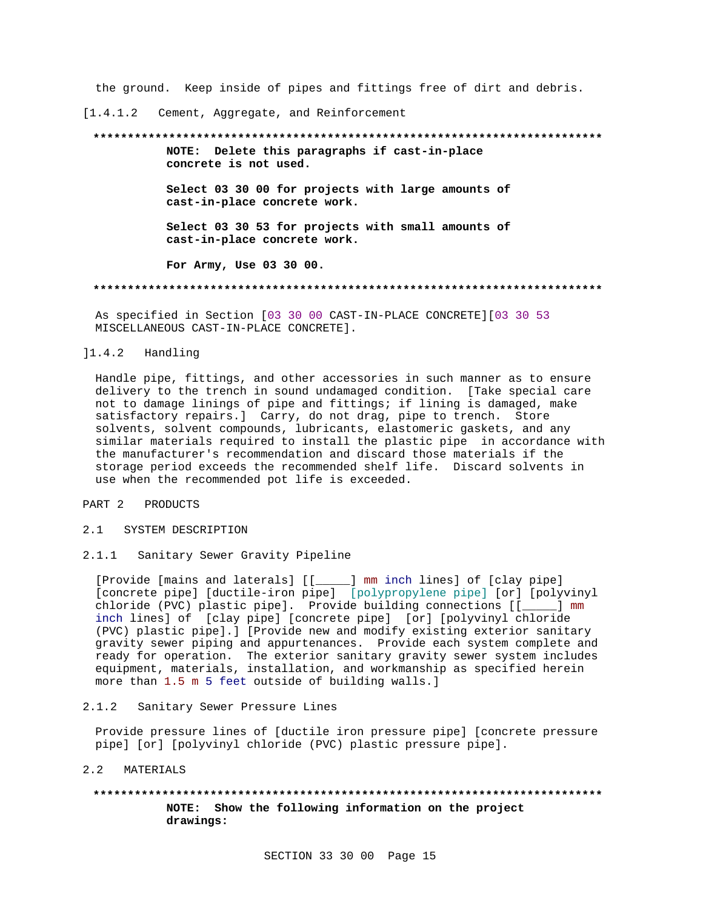the ground. Keep inside of pipes and fittings free of dirt and debris.

[1.4.1.2 Cement, Aggregate, and Reinforcement

## **\*\*\*\*\*\*\*\*\*\*\*\*\*\*\*\*\*\*\*\*\*\*\*\*\*\*\*\*\*\*\*\*\*\*\*\*\*\*\*\*\*\*\*\*\*\*\*\*\*\*\*\*\*\*\*\*\*\*\*\*\*\*\*\*\*\*\*\*\*\*\*\*\*\***

**NOTE: Delete this paragraphs if cast-in-place concrete is not used.**

**Select 03 30 00 for projects with large amounts of cast-in-place concrete work.**

**Select 03 30 53 for projects with small amounts of cast-in-place concrete work.**

**For Army, Use 03 30 00.**

#### **\*\*\*\*\*\*\*\*\*\*\*\*\*\*\*\*\*\*\*\*\*\*\*\*\*\*\*\*\*\*\*\*\*\*\*\*\*\*\*\*\*\*\*\*\*\*\*\*\*\*\*\*\*\*\*\*\*\*\*\*\*\*\*\*\*\*\*\*\*\*\*\*\*\***

As specified in Section [03 30 00 CAST-IN-PLACE CONCRETE][03 30 53 MISCELLANEOUS CAST-IN-PLACE CONCRETE].

## ]1.4.2 Handling

Handle pipe, fittings, and other accessories in such manner as to ensure delivery to the trench in sound undamaged condition. [Take special care not to damage linings of pipe and fittings; if lining is damaged, make satisfactory repairs.] Carry, do not drag, pipe to trench. Store solvents, solvent compounds, lubricants, elastomeric gaskets, and any similar materials required to install the plastic pipe in accordance with the manufacturer's recommendation and discard those materials if the storage period exceeds the recommended shelf life. Discard solvents in use when the recommended pot life is exceeded.

## PART 2 PRODUCTS

- 2.1 SYSTEM DESCRIPTION
- 2.1.1 Sanitary Sewer Gravity Pipeline

[Provide [mains and laterals] [[\_\_\_\_\_] mm inch lines] of [clay pipe] [concrete pipe] [ductile-iron pipe] [polypropylene pipe] [or] [polyvinyl chloride (PVC) plastic pipe]. Provide building connections [[\_\_\_\_\_] mm inch lines] of [clay pipe] [concrete pipe] [or] [polyvinyl chloride (PVC) plastic pipe].] [Provide new and modify existing exterior sanitary gravity sewer piping and appurtenances. Provide each system complete and ready for operation. The exterior sanitary gravity sewer system includes equipment, materials, installation, and workmanship as specified herein more than 1.5 m 5 feet outside of building walls.]

## 2.1.2 Sanitary Sewer Pressure Lines

Provide pressure lines of [ductile iron pressure pipe] [concrete pressure pipe] [or] [polyvinyl chloride (PVC) plastic pressure pipe].

## 2.2 MATERIALS

## **\*\*\*\*\*\*\*\*\*\*\*\*\*\*\*\*\*\*\*\*\*\*\*\*\*\*\*\*\*\*\*\*\*\*\*\*\*\*\*\*\*\*\*\*\*\*\*\*\*\*\*\*\*\*\*\*\*\*\*\*\*\*\*\*\*\*\*\*\*\*\*\*\*\* NOTE: Show the following information on the project drawings:**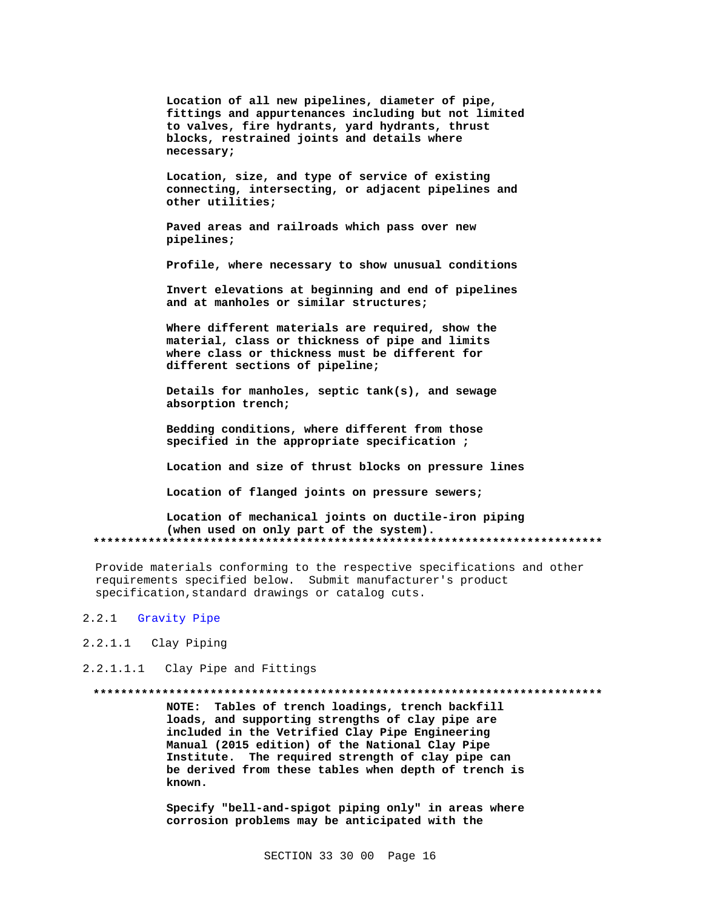Location of all new pipelines, diameter of pipe, fittings and appurtenances including but not limited to valves, fire hydrants, yard hydrants, thrust blocks, restrained joints and details where necessary;

Location, size, and type of service of existing connecting, intersecting, or adjacent pipelines and other utilities;

Paved areas and railroads which pass over new pipelines;

Profile, where necessary to show unusual conditions

Invert elevations at beginning and end of pipelines and at manholes or similar structures;

Where different materials are required, show the material, class or thickness of pipe and limits where class or thickness must be different for different sections of pipeline;

Details for manholes, septic tank(s), and sewage absorption trench;

Bedding conditions, where different from those specified in the appropriate specification;

Location and size of thrust blocks on pressure lines

Location of flanged joints on pressure sewers;

Location of mechanical joints on ductile-iron piping (when used on only part of the system). 

Provide materials conforming to the respective specifications and other requirements specified below. Submit manufacturer's product specification, standard drawings or catalog cuts.

#### $2.2.1$ Gravity Pipe

- 2.2.1.1 Clay Piping
- 2.2.1.1.1 Clay Pipe and Fittings

NOTE: Tables of trench loadings, trench backfill loads, and supporting strengths of clay pipe are included in the Vetrified Clay Pipe Engineering Manual (2015 edition) of the National Clay Pipe Institute. The required strength of clay pipe can be derived from these tables when depth of trench is known.

Specify "bell-and-spigot piping only" in areas where corrosion problems may be anticipated with the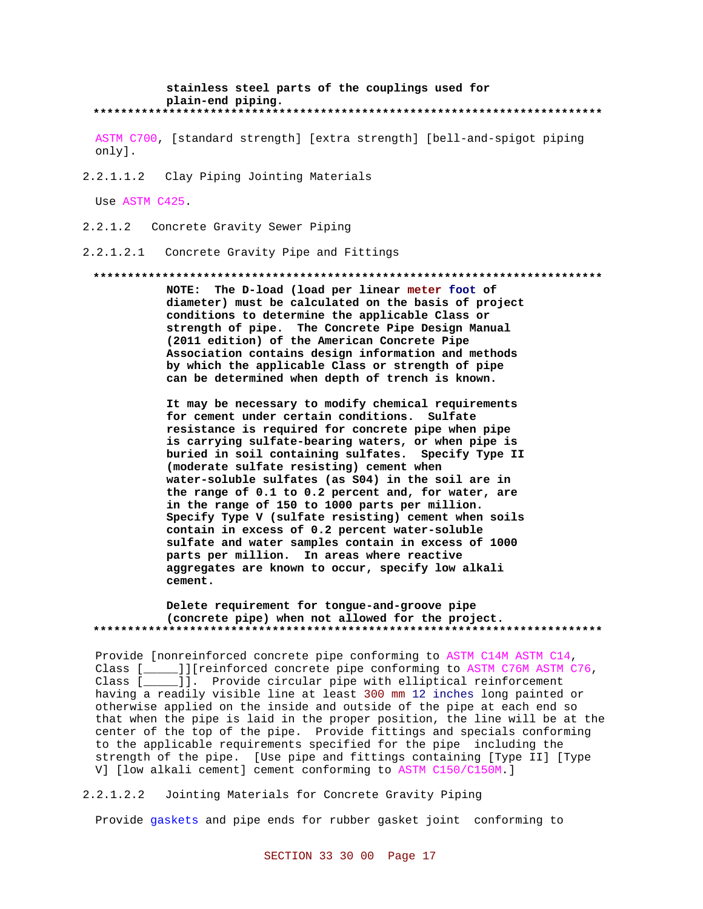#### stainless steel parts of the couplings used for plain-end piping. \*\*\*\*\*\*\*\*\*\*\*\*\*\*\*\*\*\*\*\*

ASTM C700, [standard strength] [extra strength] [bell-and-spigot piping only].

2.2.1.1.2 Clay Piping Jointing Materials

Use ASTM C425.

 $2.2.1.2$ Concrete Gravity Sewer Piping

Concrete Gravity Pipe and Fittings  $2.2.1.2.1$ 

#### 

NOTE: The D-load (load per linear meter foot of diameter) must be calculated on the basis of project conditions to determine the applicable Class or strength of pipe. The Concrete Pipe Design Manual (2011 edition) of the American Concrete Pipe Association contains design information and methods by which the applicable Class or strength of pipe can be determined when depth of trench is known.

It may be necessary to modify chemical requirements for cement under certain conditions. Sulfate resistance is required for concrete pipe when pipe is carrying sulfate-bearing waters, or when pipe is buried in soil containing sulfates. Specify Type II (moderate sulfate resisting) cement when water-soluble sulfates (as S04) in the soil are in the range of 0.1 to 0.2 percent and, for water, are in the range of 150 to 1000 parts per million. Specify Type V (sulfate resisting) cement when soils contain in excess of 0.2 percent water-soluble sulfate and water samples contain in excess of 1000 parts per million. In areas where reactive aggregates are known to occur, specify low alkali cement.

## Delete requirement for tongue-and-groove pipe (concrete pipe) when not allowed for the project.

Provide [nonreinforced concrete pipe conforming to ASTM C14M ASTM C14, Class [\_\_\_\_\_]][reinforced concrete pipe conforming to ASTM C76M ASTM C76, Class [\_\_\_\_\_]]. Provide circular pipe with elliptical reinforcement having a readily visible line at least 300 mm 12 inches long painted or otherwise applied on the inside and outside of the pipe at each end so that when the pipe is laid in the proper position, the line will be at the center of the top of the pipe. Provide fittings and specials conforming to the applicable requirements specified for the pipe including the strength of the pipe. [Use pipe and fittings containing [Type II] [Type V] [low alkali cement] cement conforming to ASTM C150/C150M.]

 $2.2.1.2.2$ Jointing Materials for Concrete Gravity Piping

Provide gaskets and pipe ends for rubber gasket joint conforming to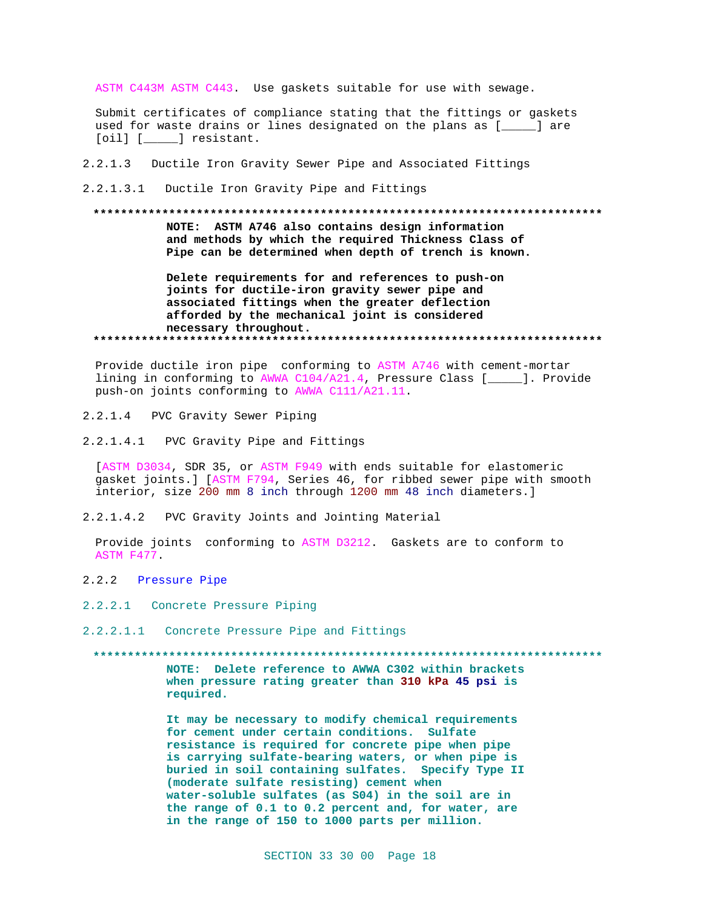ASTM C443M ASTM C443. Use gaskets suitable for use with sewage.

Submit certificates of compliance stating that the fittings or gaskets used for waste drains or lines designated on the plans as [\_\_\_\_\_] are [oil] [\_\_\_\_\_\_] resistant.

- 2.2.1.3 Ductile Iron Gravity Sewer Pipe and Associated Fittings
- 2.2.1.3.1 Ductile Iron Gravity Pipe and Fittings

# **\*\*\*\*\*\*\*\*\*\*\*\*\*\*\*\*\*\*\*\*\*\*\*\*\*\*\*\*\*\*\*\*\*\*\*\*\*\*\*\*\*\*\*\*\*\*\*\*\*\*\*\*\*\*\*\*\*\*\*\*\*\*\*\*\*\*\*\*\*\*\*\*\*\* NOTE: ASTM A746 also contains design information and methods by which the required Thickness Class of Pipe can be determined when depth of trench is known.**

**Delete requirements for and references to push-on joints for ductile-iron gravity sewer pipe and associated fittings when the greater deflection afforded by the mechanical joint is considered necessary throughout. \*\*\*\*\*\*\*\*\*\*\*\*\*\*\*\*\*\*\*\*\*\*\*\*\*\*\*\*\*\*\*\*\*\*\*\*\*\*\*\*\*\*\*\*\*\*\*\*\*\*\*\*\*\*\*\*\*\*\*\*\*\*\*\*\*\*\*\*\*\*\*\*\*\***

Provide ductile iron pipe conforming to ASTM A746 with cement-mortar lining in conforming to AWWA C104/A21.4, Pressure Class [\_\_\_\_\_]. Provide push-on joints conforming to AWWA C111/A21.11.

- 2.2.1.4 PVC Gravity Sewer Piping
- 2.2.1.4.1 PVC Gravity Pipe and Fittings

[ASTM D3034, SDR 35, or ASTM F949 with ends suitable for elastomeric gasket joints.] [ASTM F794, Series 46, for ribbed sewer pipe with smooth interior, size 200 mm 8 inch through 1200 mm 48 inch diameters.]

2.2.1.4.2 PVC Gravity Joints and Jointing Material

Provide joints conforming to ASTM D3212. Gaskets are to conform to ASTM F477.

- 2.2.2 Pressure Pipe
- 2.2.2.1 Concrete Pressure Piping
- 2.2.2.1.1 Concrete Pressure Pipe and Fittings

**\*\*\*\*\*\*\*\*\*\*\*\*\*\*\*\*\*\*\*\*\*\*\*\*\*\*\*\*\*\*\*\*\*\*\*\*\*\*\*\*\*\*\*\*\*\*\*\*\*\*\*\*\*\*\*\*\*\*\*\*\*\*\*\*\*\*\*\*\*\*\*\*\*\***

**NOTE: Delete reference to AWWA C302 within brackets when pressure rating greater than 310 kPa 45 psi is required.**

**It may be necessary to modify chemical requirements for cement under certain conditions. Sulfate resistance is required for concrete pipe when pipe is carrying sulfate-bearing waters, or when pipe is buried in soil containing sulfates. Specify Type II (moderate sulfate resisting) cement when water-soluble sulfates (as S04) in the soil are in the range of 0.1 to 0.2 percent and, for water, are in the range of 150 to 1000 parts per million.**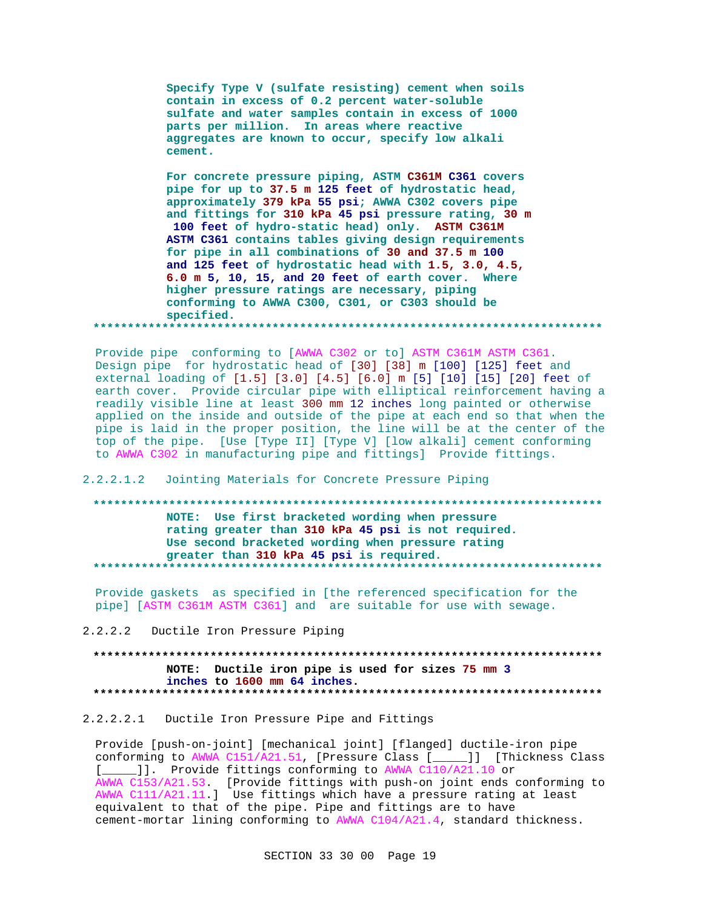**Specify Type V (sulfate resisting) cement when soils contain in excess of 0.2 percent water-soluble sulfate and water samples contain in excess of 1000 parts per million. In areas where reactive aggregates are known to occur, specify low alkali cement.**

**For concrete pressure piping, ASTM C361M C361 covers pipe for up to 37.5 m 125 feet of hydrostatic head, approximately 379 kPa 55 psi; AWWA C302 covers pipe and fittings for 310 kPa 45 psi pressure rating, 30 m 100 feet of hydro-static head) only. ASTM C361M ASTM C361 contains tables giving design requirements for pipe in all combinations of 30 and 37.5 m 100 and 125 feet of hydrostatic head with 1.5, 3.0, 4.5, 6.0 m 5, 10, 15, and 20 feet of earth cover. Where higher pressure ratings are necessary, piping conforming to AWWA C300, C301, or C303 should be specified. \*\*\*\*\*\*\*\*\*\*\*\*\*\*\*\*\*\*\*\*\*\*\*\*\*\*\*\*\*\*\*\*\*\*\*\*\*\*\*\*\*\*\*\*\*\*\*\*\*\*\*\*\*\*\*\*\*\*\*\*\*\*\*\*\*\*\*\*\*\*\*\*\*\***

Provide pipe conforming to [AWWA C302 or to] ASTM C361M ASTM C361. Design pipe for hydrostatic head of [30] [38] m [100] [125] feet and external loading of [1.5] [3.0] [4.5] [6.0] m [5] [10] [15] [20] feet of earth cover. Provide circular pipe with elliptical reinforcement having a readily visible line at least 300 mm 12 inches long painted or otherwise applied on the inside and outside of the pipe at each end so that when the pipe is laid in the proper position, the line will be at the center of the top of the pipe. [Use [Type II] [Type V] [low alkali] cement conforming to AWWA C302 in manufacturing pipe and fittings] Provide fittings.

## 2.2.2.1.2 Jointing Materials for Concrete Pressure Piping

## **\*\*\*\*\*\*\*\*\*\*\*\*\*\*\*\*\*\*\*\*\*\*\*\*\*\*\*\*\*\*\*\*\*\*\*\*\*\*\*\*\*\*\*\*\*\*\*\*\*\*\*\*\*\*\*\*\*\*\*\*\*\*\*\*\*\*\*\*\*\*\*\*\*\* NOTE: Use first bracketed wording when pressure rating greater than 310 kPa 45 psi is not required. Use second bracketed wording when pressure rating greater than 310 kPa 45 psi is required. \*\*\*\*\*\*\*\*\*\*\*\*\*\*\*\*\*\*\*\*\*\*\*\*\*\*\*\*\*\*\*\*\*\*\*\*\*\*\*\*\*\*\*\*\*\*\*\*\*\*\*\*\*\*\*\*\*\*\*\*\*\*\*\*\*\*\*\*\*\*\*\*\*\***

Provide gaskets as specified in [the referenced specification for the pipe] [ASTM C361M ASTM C361] and are suitable for use with sewage.

2.2.2.2 Ductile Iron Pressure Piping

## **\*\*\*\*\*\*\*\*\*\*\*\*\*\*\*\*\*\*\*\*\*\*\*\*\*\*\*\*\*\*\*\*\*\*\*\*\*\*\*\*\*\*\*\*\*\*\*\*\*\*\*\*\*\*\*\*\*\*\*\*\*\*\*\*\*\*\*\*\*\*\*\*\*\* NOTE: Ductile iron pipe is used for sizes 75 mm 3 inches to 1600 mm 64 inches. \*\*\*\*\*\*\*\*\*\*\*\*\*\*\*\*\*\*\*\*\*\*\*\*\*\*\*\*\*\*\*\*\*\*\*\*\*\*\*\*\*\*\*\*\*\*\*\*\*\*\*\*\*\*\*\*\*\*\*\*\*\*\*\*\*\*\*\*\*\*\*\*\*\***

## 2.2.2.2.1 Ductile Iron Pressure Pipe and Fittings

Provide [push-on-joint] [mechanical joint] [flanged] ductile-iron pipe conforming to AWWA C151/A21.51, [Pressure Class [\_\_\_\_\_]] [Thickness Class [\_\_\_\_]]. Provide fittings conforming to AWWA C110/A21.10 or AWWA C153/A21.53. [Provide fittings with push-on joint ends conforming to AWWA C111/A21.11.] Use fittings which have a pressure rating at least equivalent to that of the pipe. Pipe and fittings are to have cement-mortar lining conforming to AWWA C104/A21.4, standard thickness.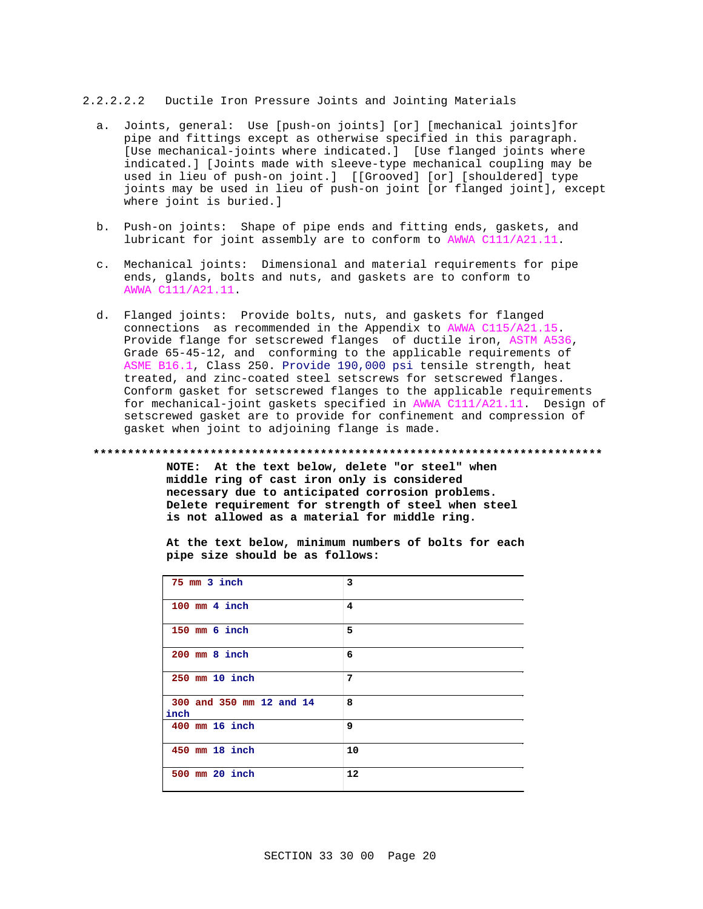## 2.2.2.2.2 Ductile Iron Pressure Joints and Jointing Materials

- a. Joints, general: Use [push-on joints] [or] [mechanical joints]for pipe and fittings except as otherwise specified in this paragraph. [Use mechanical-joints where indicated.] [Use flanged joints where indicated.] [Joints made with sleeve-type mechanical coupling may be used in lieu of push-on joint.] [[Grooved] [or] [shouldered] type joints may be used in lieu of push-on joint [or flanged joint], except where joint is buried.]
- b. Push-on joints: Shape of pipe ends and fitting ends, gaskets, and lubricant for joint assembly are to conform to AWWA C111/A21.11.
- c. Mechanical joints: Dimensional and material requirements for pipe ends, glands, bolts and nuts, and gaskets are to conform to AWWA C111/A21.11.
- d. Flanged joints: Provide bolts, nuts, and gaskets for flanged connections as recommended in the Appendix to AWWA C115/A21.15. Provide flange for setscrewed flanges of ductile iron, ASTM A536, Grade 65-45-12, and conforming to the applicable requirements of ASME B16.1, Class 250. Provide 190,000 psi tensile strength, heat treated, and zinc-coated steel setscrews for setscrewed flanges. Conform gasket for setscrewed flanges to the applicable requirements for mechanical-joint gaskets specified in AWWA C111/A21.11. Design of setscrewed gasket are to provide for confinement and compression of gasket when joint to adjoining flange is made.

#### **\*\*\*\*\*\*\*\*\*\*\*\*\*\*\*\*\*\*\*\*\*\*\*\*\*\*\*\*\*\*\*\*\*\*\*\*\*\*\*\*\*\*\*\*\*\*\*\*\*\*\*\*\*\*\*\*\*\*\*\*\*\*\*\*\*\*\*\*\*\*\*\*\*\***

**NOTE: At the text below, delete "or steel" when middle ring of cast iron only is considered necessary due to anticipated corrosion problems. Delete requirement for strength of steel when steel is not allowed as a material for middle ring.**

**At the text below, minimum numbers of bolts for each pipe size should be as follows:**

| 75 mm 3 inch                     | 3  |
|----------------------------------|----|
| $100$ mm $4$ inch                | 4  |
| $150$ mm $6$ inch                | 5  |
| $200$ mm $8$ inch                | 6  |
| 250 mm 10 inch                   | 7  |
| 300 and 350 mm 12 and 14<br>inch | 8  |
| $400$ mm $16$ inch               | 9  |
| 450 mm 18 inch                   | 10 |
| 500 mm 20 inch                   | 12 |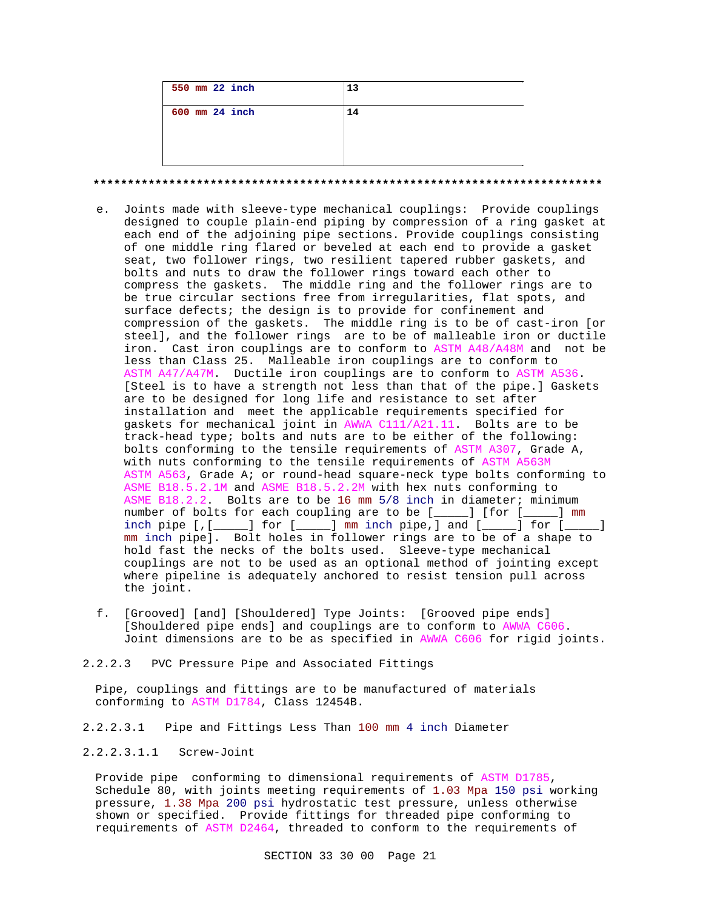| 550 mm 22 inch     | 13 |
|--------------------|----|
| $600$ mm $24$ inch | 14 |
|                    |    |

**\*\*\*\*\*\*\*\*\*\*\*\*\*\*\*\*\*\*\*\*\*\*\*\*\*\*\*\*\*\*\*\*\*\*\*\*\*\*\*\*\*\*\*\*\*\*\*\*\*\*\*\*\*\*\*\*\*\*\*\*\*\*\*\*\*\*\*\*\*\*\*\*\*\***

- e. Joints made with sleeve-type mechanical couplings: Provide couplings designed to couple plain-end piping by compression of a ring gasket at each end of the adjoining pipe sections. Provide couplings consisting of one middle ring flared or beveled at each end to provide a gasket seat, two follower rings, two resilient tapered rubber gaskets, and bolts and nuts to draw the follower rings toward each other to compress the gaskets. The middle ring and the follower rings are to be true circular sections free from irregularities, flat spots, and surface defects; the design is to provide for confinement and compression of the gaskets. The middle ring is to be of cast-iron [or steel], and the follower rings are to be of malleable iron or ductile iron. Cast iron couplings are to conform to ASTM A48/A48M and not be less than Class 25. Malleable iron couplings are to conform to ASTM A47/A47M. Ductile iron couplings are to conform to ASTM A536. [Steel is to have a strength not less than that of the pipe.] Gaskets are to be designed for long life and resistance to set after installation and meet the applicable requirements specified for gaskets for mechanical joint in AWWA C111/A21.11. Bolts are to be track-head type; bolts and nuts are to be either of the following: bolts conforming to the tensile requirements of ASTM A307, Grade A, with nuts conforming to the tensile requirements of ASTM A563M ASTM A563, Grade A; or round-head square-neck type bolts conforming to ASME B18.5.2.1M and ASME B18.5.2.2M with hex nuts conforming to ASME B18.2.2. Bolts are to be 16 mm 5/8 inch in diameter; minimum number of bolts for each coupling are to be [\_\_\_\_\_] [for [\_\_\_\_\_] mm inch pipe  $\left[ , \left[ , \underline{ } \right] \right]$  for  $\left[ , \underline{ } \right]$  mm inch pipe, and  $\left[ , \underline{ } \right]$  for  $\left[ , \underline{ } \right]$ mm inch pipe]. Bolt holes in follower rings are to be of a shape to hold fast the necks of the bolts used. Sleeve-type mechanical couplings are not to be used as an optional method of jointing except where pipeline is adequately anchored to resist tension pull across the joint.
- f. [Grooved] [and] [Shouldered] Type Joints: [Grooved pipe ends] [Shouldered pipe ends] and couplings are to conform to AWWA C606. Joint dimensions are to be as specified in AWWA C606 for rigid joints.
- 2.2.2.3 PVC Pressure Pipe and Associated Fittings

Pipe, couplings and fittings are to be manufactured of materials conforming to ASTM D1784, Class 12454B.

2.2.2.3.1 Pipe and Fittings Less Than 100 mm 4 inch Diameter

2.2.2.3.1.1 Screw-Joint

Provide pipe conforming to dimensional requirements of ASTM D1785, Schedule 80, with joints meeting requirements of 1.03 Mpa 150 psi working pressure, 1.38 Mpa 200 psi hydrostatic test pressure, unless otherwise shown or specified. Provide fittings for threaded pipe conforming to requirements of ASTM D2464, threaded to conform to the requirements of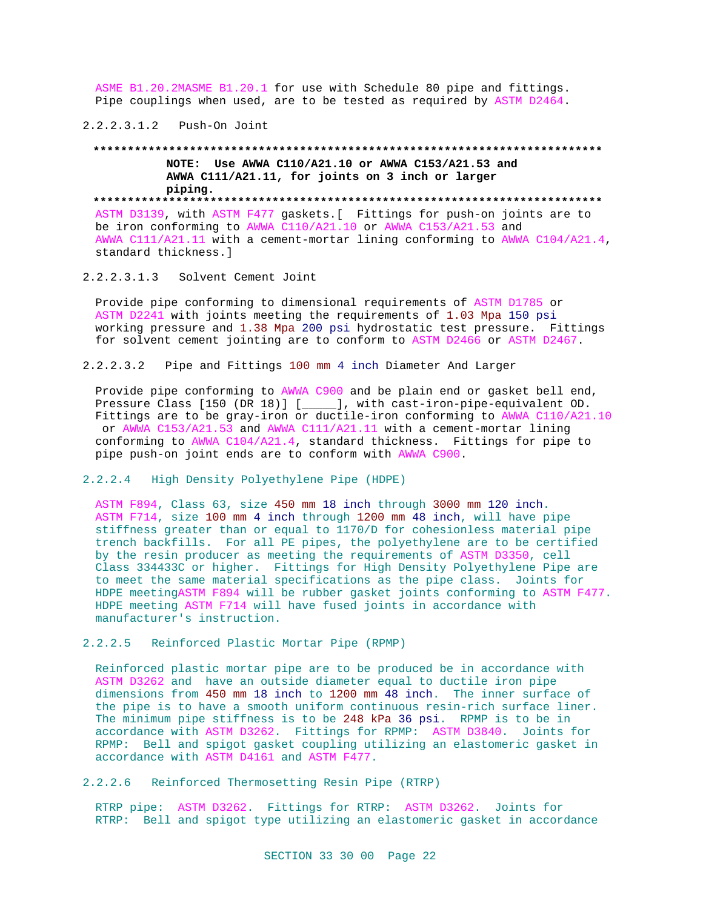ASME B1.20.2MASME B1.20.1 for use with Schedule 80 pipe and fittings. Pipe couplings when used, are to be tested as required by ASTM D2464.

2.2.2.3.1.2 Push-On Joint

## **\*\*\*\*\*\*\*\*\*\*\*\*\*\*\*\*\*\*\*\*\*\*\*\*\*\*\*\*\*\*\*\*\*\*\*\*\*\*\*\*\*\*\*\*\*\*\*\*\*\*\*\*\*\*\*\*\*\*\*\*\*\*\*\*\*\*\*\*\*\*\*\*\*\* NOTE: Use AWWA C110/A21.10 or AWWA C153/A21.53 and AWWA C111/A21.11, for joints on 3 inch or larger piping. \*\*\*\*\*\*\*\*\*\*\*\*\*\*\*\*\*\*\*\*\*\*\*\*\*\*\*\*\*\*\*\*\*\*\*\*\*\*\*\*\*\*\*\*\*\*\*\*\*\*\*\*\*\*\*\*\*\*\*\*\*\*\*\*\*\*\*\*\*\*\*\*\*\***

ASTM D3139, with ASTM F477 gaskets.[ Fittings for push-on joints are to be iron conforming to AWWA C110/A21.10 or AWWA C153/A21.53 and AWWA C111/A21.11 with a cement-mortar lining conforming to AWWA C104/A21.4, standard thickness.]

2.2.2.3.1.3 Solvent Cement Joint

Provide pipe conforming to dimensional requirements of ASTM D1785 or ASTM D2241 with joints meeting the requirements of 1.03 Mpa 150 psi working pressure and 1.38 Mpa 200 psi hydrostatic test pressure. Fittings for solvent cement jointing are to conform to ASTM D2466 or ASTM D2467.

2.2.2.3.2 Pipe and Fittings 100 mm 4 inch Diameter And Larger

Provide pipe conforming to AWWA C900 and be plain end or gasket bell end, Pressure Class [150 (DR 18)] [\_\_\_\_\_], with cast-iron-pipe-equivalent OD. Fittings are to be gray-iron or ductile-iron conforming to AWWA C110/A21.10 or AWWA C153/A21.53 and AWWA C111/A21.11 with a cement-mortar lining conforming to AWWA C104/A21.4, standard thickness. Fittings for pipe to pipe push-on joint ends are to conform with AWWA C900.

2.2.2.4 High Density Polyethylene Pipe (HDPE)

ASTM F894, Class 63, size 450 mm 18 inch through 3000 mm 120 inch. ASTM F714, size 100 mm 4 inch through 1200 mm 48 inch, will have pipe stiffness greater than or equal to 1170/D for cohesionless material pipe trench backfills. For all PE pipes, the polyethylene are to be certified by the resin producer as meeting the requirements of ASTM D3350, cell Class 334433C or higher. Fittings for High Density Polyethylene Pipe are to meet the same material specifications as the pipe class. Joints for HDPE meetingASTM F894 will be rubber gasket joints conforming to ASTM F477. HDPE meeting ASTM F714 will have fused joints in accordance with manufacturer's instruction.

2.2.2.5 Reinforced Plastic Mortar Pipe (RPMP)

Reinforced plastic mortar pipe are to be produced be in accordance with ASTM D3262 and have an outside diameter equal to ductile iron pipe dimensions from 450 mm 18 inch to 1200 mm 48 inch. The inner surface of the pipe is to have a smooth uniform continuous resin-rich surface liner. The minimum pipe stiffness is to be 248 kPa 36 psi. RPMP is to be in accordance with ASTM D3262. Fittings for RPMP: ASTM D3840. Joints for RPMP: Bell and spigot gasket coupling utilizing an elastomeric gasket in accordance with ASTM D4161 and ASTM F477.

2.2.2.6 Reinforced Thermosetting Resin Pipe (RTRP)

RTRP pipe: ASTM D3262. Fittings for RTRP: ASTM D3262. Joints for RTRP: Bell and spigot type utilizing an elastomeric gasket in accordance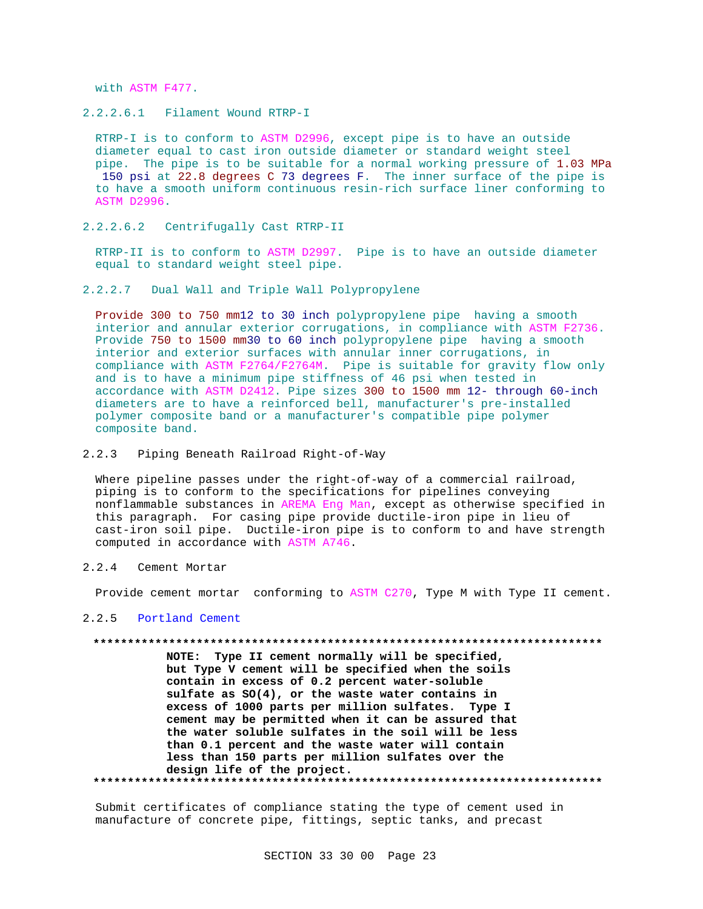with ASTM F477.

2.2.2.6.1 Filament Wound RTRP-I

RTRP-I is to conform to ASTM D2996, except pipe is to have an outside diameter equal to cast iron outside diameter or standard weight steel pipe. The pipe is to be suitable for a normal working pressure of 1.03 MPa 150 psi at 22.8 degrees C 73 degrees F. The inner surface of the pipe is to have a smooth uniform continuous resin-rich surface liner conforming to ASTM D2996.

2.2.2.6.2 Centrifugally Cast RTRP-II

RTRP-II is to conform to ASTM D2997. Pipe is to have an outside diameter equal to standard weight steel pipe.

2.2.2.7 Dual Wall and Triple Wall Polypropylene

Provide 300 to 750 mm12 to 30 inch polypropylene pipe having a smooth interior and annular exterior corrugations, in compliance with ASTM F2736. Provide 750 to 1500 mm30 to 60 inch polypropylene pipe having a smooth interior and exterior surfaces with annular inner corrugations, in compliance with ASTM F2764/F2764M. Pipe is suitable for gravity flow only and is to have a minimum pipe stiffness of 46 psi when tested in accordance with ASTM D2412. Pipe sizes 300 to 1500 mm 12- through 60-inch diameters are to have a reinforced bell, manufacturer's pre-installed polymer composite band or a manufacturer's compatible pipe polymer composite band.

2.2.3 Piping Beneath Railroad Right-of-Way

Where pipeline passes under the right-of-way of a commercial railroad, piping is to conform to the specifications for pipelines conveying nonflammable substances in AREMA Eng Man, except as otherwise specified in this paragraph. For casing pipe provide ductile-iron pipe in lieu of cast-iron soil pipe. Ductile-iron pipe is to conform to and have strength computed in accordance with ASTM A746.

2.2.4 Cement Mortar

Provide cement mortar conforming to ASTM C270, Type M with Type II cement.

2.2.5 Portland Cement

## **\*\*\*\*\*\*\*\*\*\*\*\*\*\*\*\*\*\*\*\*\*\*\*\*\*\*\*\*\*\*\*\*\*\*\*\*\*\*\*\*\*\*\*\*\*\*\*\*\*\*\*\*\*\*\*\*\*\*\*\*\*\*\*\*\*\*\*\*\*\*\*\*\*\***

**NOTE: Type II cement normally will be specified, but Type V cement will be specified when the soils contain in excess of 0.2 percent water-soluble sulfate as SO(4), or the waste water contains in excess of 1000 parts per million sulfates. Type I cement may be permitted when it can be assured that the water soluble sulfates in the soil will be less than 0.1 percent and the waste water will contain less than 150 parts per million sulfates over the design life of the project. \*\*\*\*\*\*\*\*\*\*\*\*\*\*\*\*\*\*\*\*\*\*\*\*\*\*\*\*\*\*\*\*\*\*\*\*\*\*\*\*\*\*\*\*\*\*\*\*\*\*\*\*\*\*\*\*\*\*\*\*\*\*\*\*\*\*\*\*\*\*\*\*\*\***

Submit certificates of compliance stating the type of cement used in manufacture of concrete pipe, fittings, septic tanks, and precast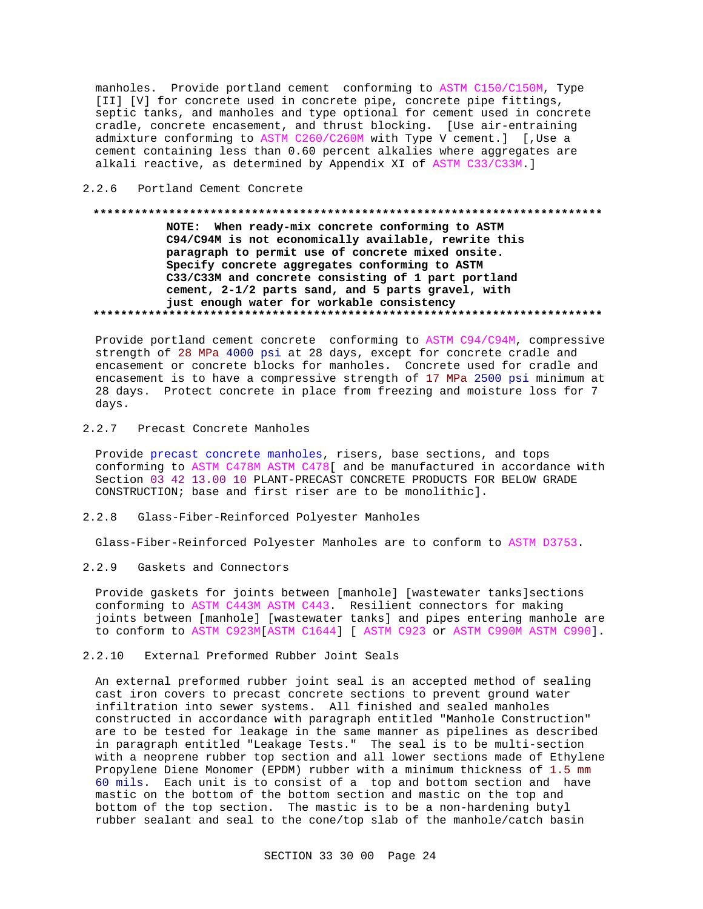manholes. Provide portland cement conforming to ASTM C150/C150M, Type [II] [V] for concrete used in concrete pipe, concrete pipe fittings, septic tanks, and manholes and type optional for cement used in concrete cradle, concrete encasement, and thrust blocking. [Use air-entraining admixture conforming to ASTM C260/C260M with Type V cement.] [,Use a cement containing less than 0.60 percent alkalies where aggregates are alkali reactive, as determined by Appendix XI of ASTM C33/C33M.]

## 2.2.6 Portland Cement Concrete

## **\*\*\*\*\*\*\*\*\*\*\*\*\*\*\*\*\*\*\*\*\*\*\*\*\*\*\*\*\*\*\*\*\*\*\*\*\*\*\*\*\*\*\*\*\*\*\*\*\*\*\*\*\*\*\*\*\*\*\*\*\*\*\*\*\*\*\*\*\*\*\*\*\*\* NOTE: When ready-mix concrete conforming to ASTM C94/C94M is not economically available, rewrite this paragraph to permit use of concrete mixed onsite. Specify concrete aggregates conforming to ASTM C33/C33M and concrete consisting of 1 part portland cement, 2-1/2 parts sand, and 5 parts gravel, with just enough water for workable consistency \*\*\*\*\*\*\*\*\*\*\*\*\*\*\*\*\*\*\*\*\*\*\*\*\*\*\*\*\*\*\*\*\*\*\*\*\*\*\*\*\*\*\*\*\*\*\*\*\*\*\*\*\*\*\*\*\*\*\*\*\*\*\*\*\*\*\*\*\*\*\*\*\*\***

Provide portland cement concrete conforming to ASTM C94/C94M, compressive strength of 28 MPa 4000 psi at 28 days, except for concrete cradle and encasement or concrete blocks for manholes. Concrete used for cradle and encasement is to have a compressive strength of 17 MPa 2500 psi minimum at 28 days. Protect concrete in place from freezing and moisture loss for 7 days.

## 2.2.7 Precast Concrete Manholes

Provide precast concrete manholes, risers, base sections, and tops conforming to ASTM C478M ASTM C478[ and be manufactured in accordance with Section 03 42 13.00 10 PLANT-PRECAST CONCRETE PRODUCTS FOR BELOW GRADE CONSTRUCTION; base and first riser are to be monolithic].

## 2.2.8 Glass-Fiber-Reinforced Polyester Manholes

Glass-Fiber-Reinforced Polyester Manholes are to conform to ASTM D3753.

## 2.2.9 Gaskets and Connectors

Provide gaskets for joints between [manhole] [wastewater tanks]sections conforming to ASTM C443M ASTM C443. Resilient connectors for making joints between [manhole] [wastewater tanks] and pipes entering manhole are to conform to ASTM C923M[ASTM C1644] [ ASTM C923 or ASTM C990M ASTM C990].

## 2.2.10 External Preformed Rubber Joint Seals

An external preformed rubber joint seal is an accepted method of sealing cast iron covers to precast concrete sections to prevent ground water infiltration into sewer systems. All finished and sealed manholes constructed in accordance with paragraph entitled "Manhole Construction" are to be tested for leakage in the same manner as pipelines as described in paragraph entitled "Leakage Tests." The seal is to be multi-section with a neoprene rubber top section and all lower sections made of Ethylene Propylene Diene Monomer (EPDM) rubber with a minimum thickness of 1.5 mm 60 mils. Each unit is to consist of a top and bottom section and have mastic on the bottom of the bottom section and mastic on the top and bottom of the top section. The mastic is to be a non-hardening butyl rubber sealant and seal to the cone/top slab of the manhole/catch basin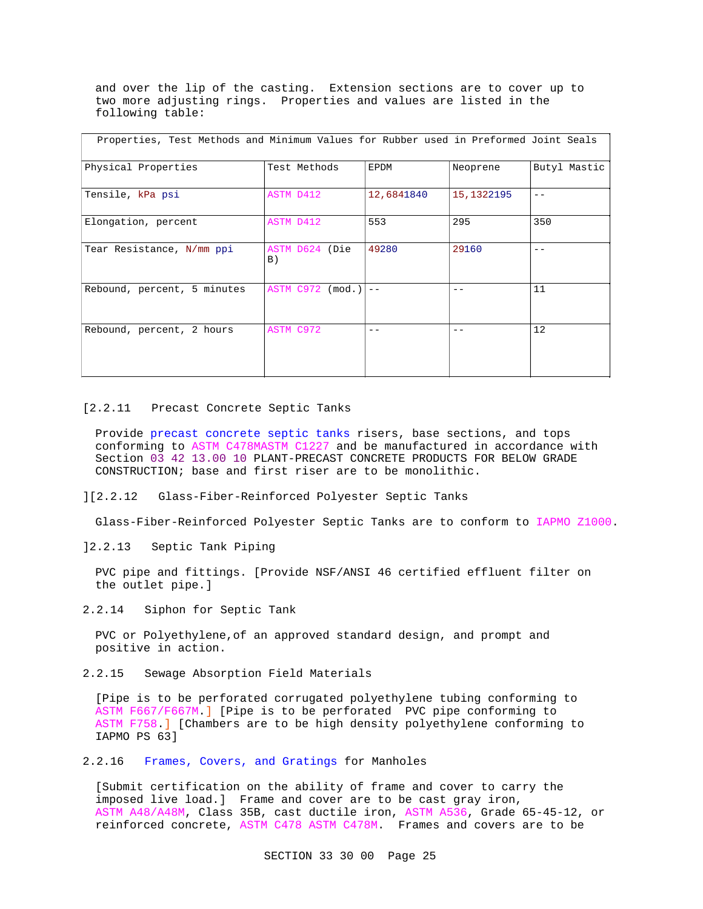and over the lip of the casting. Extension sections are to cover up to two more adjusting rings. Properties and values are listed in the following table:

| Properties, Test Methods and Minimum Values for Rubber used in Preformed Joint Seals |                      |            |            |              |  |  |
|--------------------------------------------------------------------------------------|----------------------|------------|------------|--------------|--|--|
| Physical Properties                                                                  | Test Methods         | EPDM       | Neoprene   | Butyl Mastic |  |  |
| Tensile, kPa psi                                                                     | ASTM D412            | 12,6841840 | 15,1322195 | $ -$         |  |  |
| Elongation, percent                                                                  | ASTM D412            | 553        | 295        | 350          |  |  |
| Tear Resistance, N/mm ppi                                                            | ASTM D624 (Die<br>B) | 49280      | 29160      | $ -$         |  |  |
| Rebound, percent, 5 minutes                                                          | ASTM C972 (mod.)     |            |            | 11           |  |  |
| Rebound, percent, 2 hours                                                            | ASTM C972            |            |            | 12           |  |  |

#### [2.2.11 Precast Concrete Septic Tanks

Provide precast concrete septic tanks risers, base sections, and tops conforming to ASTM C478MASTM C1227 and be manufactured in accordance with Section 03 42 13.00 10 PLANT-PRECAST CONCRETE PRODUCTS FOR BELOW GRADE CONSTRUCTION; base and first riser are to be monolithic.

## ][2.2.12 Glass-Fiber-Reinforced Polyester Septic Tanks

Glass-Fiber-Reinforced Polyester Septic Tanks are to conform to IAPMO Z1000.

]2.2.13 Septic Tank Piping

PVC pipe and fittings. [Provide NSF/ANSI 46 certified effluent filter on the outlet pipe.]

2.2.14 Siphon for Septic Tank

PVC or Polyethylene,of an approved standard design, and prompt and positive in action.

2.2.15 Sewage Absorption Field Materials

[Pipe is to be perforated corrugated polyethylene tubing conforming to ASTM F667/F667M.] [Pipe is to be perforated PVC pipe conforming to ASTM F758.] [Chambers are to be high density polyethylene conforming to IAPMO PS 63]

2.2.16 Frames, Covers, and Gratings for Manholes

[Submit certification on the ability of frame and cover to carry the imposed live load.] Frame and cover are to be cast gray iron, ASTM A48/A48M, Class 35B, cast ductile iron, ASTM A536, Grade 65-45-12, or reinforced concrete, ASTM C478 ASTM C478M. Frames and covers are to be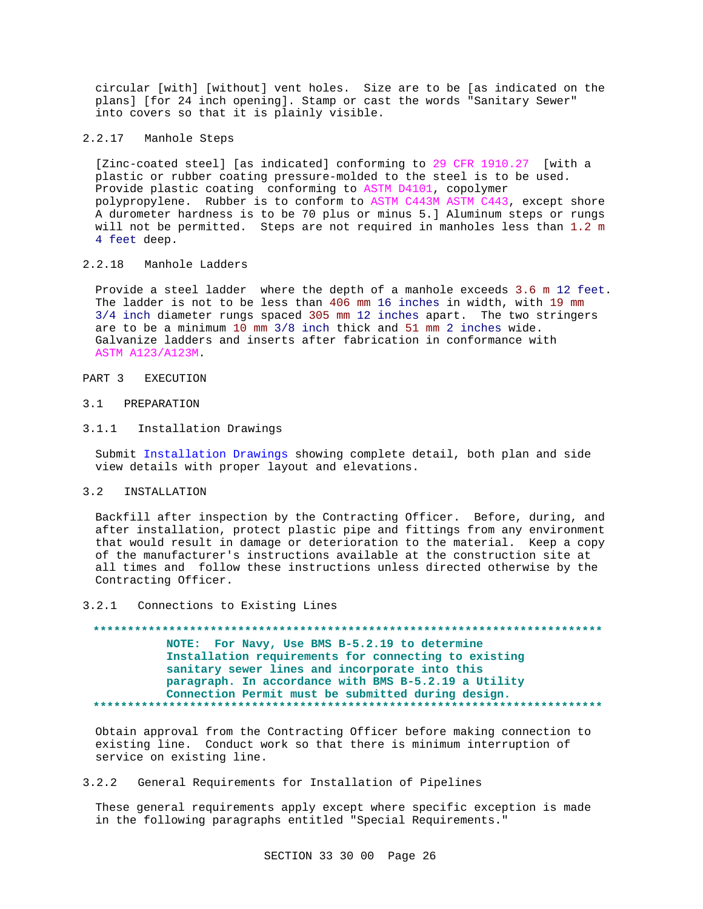circular [with] [without] vent holes. Size are to be [as indicated on the plans] [for 24 inch opening]. Stamp or cast the words "Sanitary Sewer" into covers so that it is plainly visible.

2.2.17 Manhole Steps

[Zinc-coated steel] [as indicated] conforming to 29 CFR 1910.27 [with a plastic or rubber coating pressure-molded to the steel is to be used. Provide plastic coating conforming to ASTM D4101, copolymer polypropylene. Rubber is to conform to ASTM C443M ASTM C443, except shore A durometer hardness is to be 70 plus or minus 5.] Aluminum steps or rungs will not be permitted. Steps are not required in manholes less than 1.2 m 4 feet deep.

## 2.2.18 Manhole Ladders

Provide a steel ladder where the depth of a manhole exceeds 3.6 m 12 feet. The ladder is not to be less than 406 mm 16 inches in width, with 19 mm 3/4 inch diameter rungs spaced 305 mm 12 inches apart. The two stringers are to be a minimum 10 mm 3/8 inch thick and 51 mm 2 inches wide. Galvanize ladders and inserts after fabrication in conformance with ASTM A123/A123M.

## PART 3 EXECUTION

## 3.1 PREPARATION

## 3.1.1 Installation Drawings

Submit Installation Drawings showing complete detail, both plan and side view details with proper layout and elevations.

## 3.2 INSTALLATION

Backfill after inspection by the Contracting Officer. Before, during, and after installation, protect plastic pipe and fittings from any environment that would result in damage or deterioration to the material. Keep a copy of the manufacturer's instructions available at the construction site at all times and follow these instructions unless directed otherwise by the Contracting Officer.

## 3.2.1 Connections to Existing Lines

**\*\*\*\*\*\*\*\*\*\*\*\*\*\*\*\*\*\*\*\*\*\*\*\*\*\*\*\*\*\*\*\*\*\*\*\*\*\*\*\*\*\*\*\*\*\*\*\*\*\*\*\*\*\*\*\*\*\*\*\*\*\*\*\*\*\*\*\*\*\*\*\*\*\* NOTE: For Navy, Use BMS B-5.2.19 to determine Installation requirements for connecting to existing sanitary sewer lines and incorporate into this paragraph. In accordance with BMS B-5.2.19 a Utility Connection Permit must be submitted during design. \*\*\*\*\*\*\*\*\*\*\*\*\*\*\*\*\*\*\*\*\*\*\*\*\*\*\*\*\*\*\*\*\*\*\*\*\*\*\*\*\*\*\*\*\*\*\*\*\*\*\*\*\*\*\*\*\*\*\*\*\*\*\*\*\*\*\*\*\*\*\*\*\*\***

Obtain approval from the Contracting Officer before making connection to existing line. Conduct work so that there is minimum interruption of service on existing line.

## 3.2.2 General Requirements for Installation of Pipelines

These general requirements apply except where specific exception is made in the following paragraphs entitled "Special Requirements."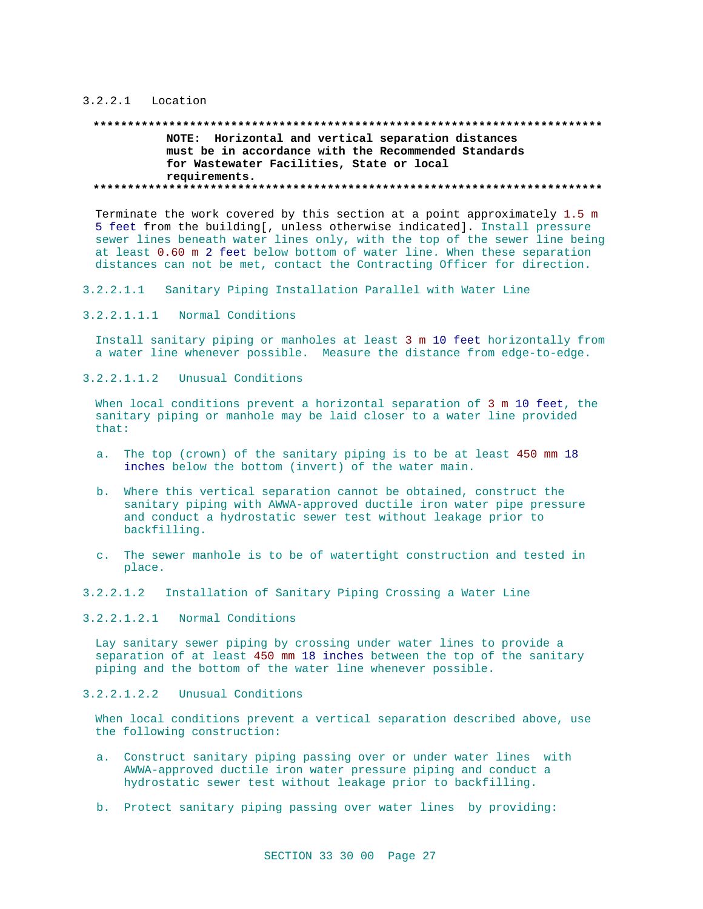## 3.2.2.1 Location

## **\*\*\*\*\*\*\*\*\*\*\*\*\*\*\*\*\*\*\*\*\*\*\*\*\*\*\*\*\*\*\*\*\*\*\*\*\*\*\*\*\*\*\*\*\*\*\*\*\*\*\*\*\*\*\*\*\*\*\*\*\*\*\*\*\*\*\*\*\*\*\*\*\*\* NOTE: Horizontal and vertical separation distances must be in accordance with the Recommended Standards for Wastewater Facilities, State or local requirements. \*\*\*\*\*\*\*\*\*\*\*\*\*\*\*\*\*\*\*\*\*\*\*\*\*\*\*\*\*\*\*\*\*\*\*\*\*\*\*\*\*\*\*\*\*\*\*\*\*\*\*\*\*\*\*\*\*\*\*\*\*\*\*\*\*\*\*\*\*\*\*\*\*\***

Terminate the work covered by this section at a point approximately 1.5 m 5 feet from the building[, unless otherwise indicated]. Install pressure sewer lines beneath water lines only, with the top of the sewer line being at least 0.60 m 2 feet below bottom of water line. When these separation distances can not be met, contact the Contracting Officer for direction.

- 3.2.2.1.1 Sanitary Piping Installation Parallel with Water Line
- 3.2.2.1.1.1 Normal Conditions

Install sanitary piping or manholes at least 3 m 10 feet horizontally from a water line whenever possible. Measure the distance from edge-to-edge.

3.2.2.1.1.2 Unusual Conditions

When local conditions prevent a horizontal separation of 3 m 10 feet, the sanitary piping or manhole may be laid closer to a water line provided that:

- a. The top (crown) of the sanitary piping is to be at least 450 mm 18 inches below the bottom (invert) of the water main.
- b. Where this vertical separation cannot be obtained, construct the sanitary piping with AWWA-approved ductile iron water pipe pressure and conduct a hydrostatic sewer test without leakage prior to backfilling.
- c. The sewer manhole is to be of watertight construction and tested in place.
- 3.2.2.1.2 Installation of Sanitary Piping Crossing a Water Line
- 3.2.2.1.2.1 Normal Conditions

Lay sanitary sewer piping by crossing under water lines to provide a separation of at least 450 mm 18 inches between the top of the sanitary piping and the bottom of the water line whenever possible.

3.2.2.1.2.2 Unusual Conditions

When local conditions prevent a vertical separation described above, use the following construction:

- a. Construct sanitary piping passing over or under water lines with AWWA-approved ductile iron water pressure piping and conduct a hydrostatic sewer test without leakage prior to backfilling.
- b. Protect sanitary piping passing over water lines by providing: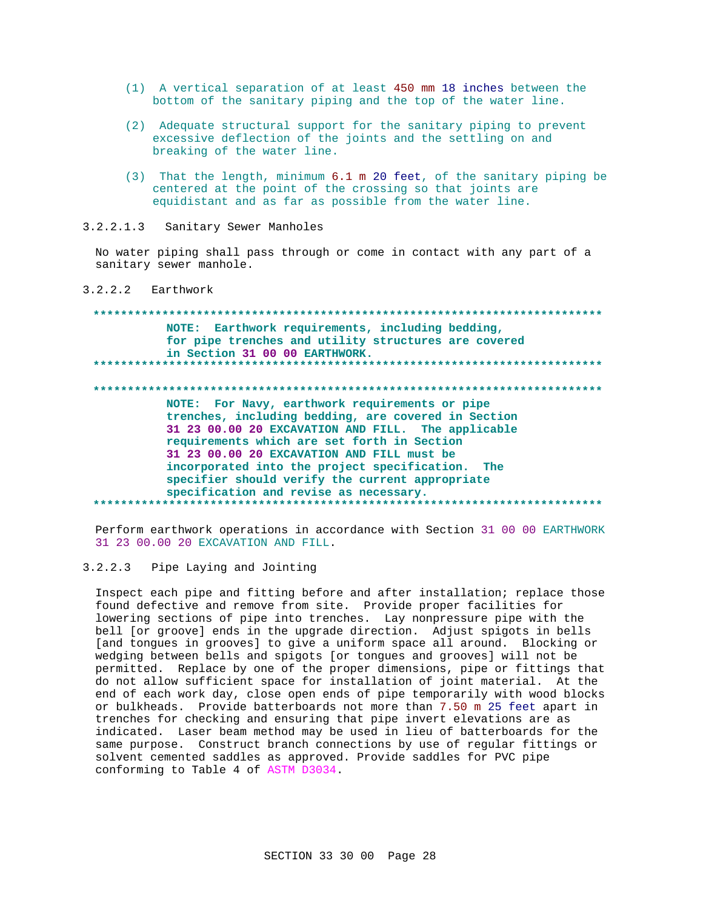- (1) A vertical separation of at least 450 mm 18 inches between the bottom of the sanitary piping and the top of the water line.
- (2) Adequate structural support for the sanitary piping to prevent excessive deflection of the joints and the settling on and breaking of the water line.
- (3) That the length, minimum 6.1 m 20 feet, of the sanitary piping be centered at the point of the crossing so that joints are equidistant and as far as possible from the water line.

 $3.2.2.1.3$ Sanitary Sewer Manholes

No water piping shall pass through or come in contact with any part of a sanitary sewer manhole.

 $3.2.2.2$  Earthwork

## NOTE: Earthwork requirements, including bedding, for pipe trenches and utility structures are covered in Section 31 00 00 EARTHWORK.

NOTE: For Navy, earthwork requirements or pipe trenches, including bedding, are covered in Section 31 23 00.00 20 EXCAVATION AND FILL. The applicable requirements which are set forth in Section 31 23 00.00 20 EXCAVATION AND FILL must be incorporated into the project specification. The specifier should verify the current appropriate specification and revise as necessary. \*\*\*\*\*\*\*\*\*\*\*\*\*\*\*\*\*\*\*\*\*\*\*\*\*\*\*

Perform earthwork operations in accordance with Section 31 00 00 EARTHWORK 31 23 00.00 20 EXCAVATION AND FILL.

#### $3.2.2.3$ Pipe Laying and Jointing

Inspect each pipe and fitting before and after installation; replace those found defective and remove from site. Provide proper facilities for lowering sections of pipe into trenches. Lay nonpressure pipe with the bell [or groove] ends in the upgrade direction. Adjust spigots in bells [and tongues in grooves] to give a uniform space all around. Blocking or wedging between bells and spigots [or tongues and grooves] will not be permitted. Replace by one of the proper dimensions, pipe or fittings that do not allow sufficient space for installation of joint material. At the end of each work day, close open ends of pipe temporarily with wood blocks or bulkheads. Provide batterboards not more than 7.50 m 25 feet apart in trenches for checking and ensuring that pipe invert elevations are as indicated. Laser beam method may be used in lieu of batterboards for the same purpose. Construct branch connections by use of regular fittings or solvent cemented saddles as approved. Provide saddles for PVC pipe conforming to Table 4 of ASTM D3034.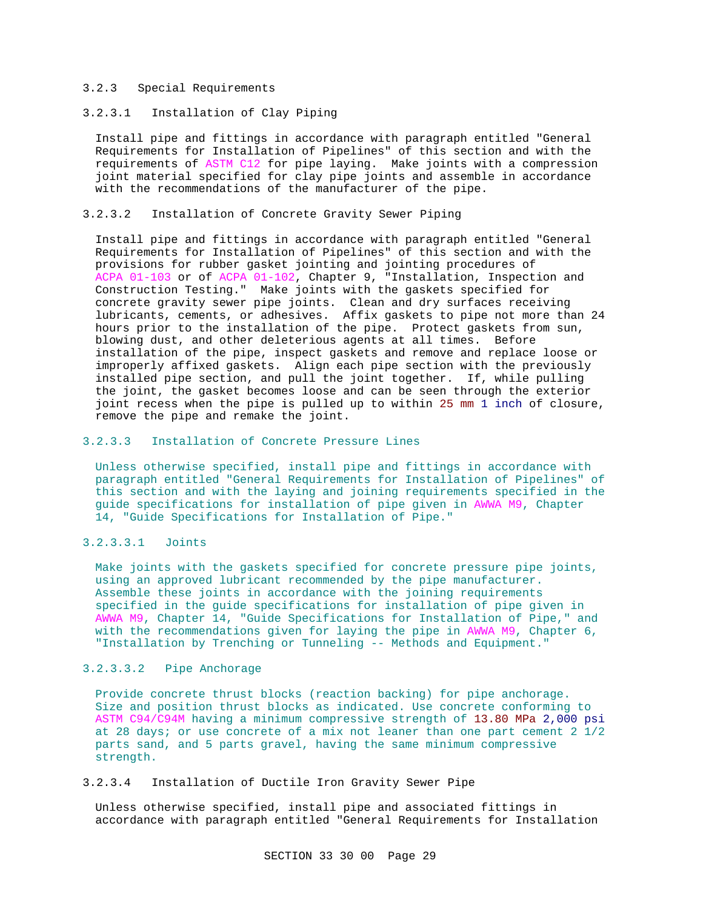## 3.2.3 Special Requirements

3.2.3.1 Installation of Clay Piping

Install pipe and fittings in accordance with paragraph entitled "General Requirements for Installation of Pipelines" of this section and with the requirements of ASTM C12 for pipe laying. Make joints with a compression joint material specified for clay pipe joints and assemble in accordance with the recommendations of the manufacturer of the pipe.

## 3.2.3.2 Installation of Concrete Gravity Sewer Piping

Install pipe and fittings in accordance with paragraph entitled "General Requirements for Installation of Pipelines" of this section and with the provisions for rubber gasket jointing and jointing procedures of ACPA 01-103 or of ACPA 01-102, Chapter 9, "Installation, Inspection and Construction Testing." Make joints with the gaskets specified for concrete gravity sewer pipe joints. Clean and dry surfaces receiving lubricants, cements, or adhesives. Affix gaskets to pipe not more than 24 hours prior to the installation of the pipe. Protect gaskets from sun, blowing dust, and other deleterious agents at all times. Before installation of the pipe, inspect gaskets and remove and replace loose or improperly affixed gaskets. Align each pipe section with the previously installed pipe section, and pull the joint together. If, while pulling the joint, the gasket becomes loose and can be seen through the exterior joint recess when the pipe is pulled up to within 25 mm 1 inch of closure, remove the pipe and remake the joint.

## 3.2.3.3 Installation of Concrete Pressure Lines

Unless otherwise specified, install pipe and fittings in accordance with paragraph entitled "General Requirements for Installation of Pipelines" of this section and with the laying and joining requirements specified in the guide specifications for installation of pipe given in AWWA M9, Chapter 14, "Guide Specifications for Installation of Pipe."

## 3.2.3.3.1 Joints

Make joints with the gaskets specified for concrete pressure pipe joints, using an approved lubricant recommended by the pipe manufacturer. Assemble these joints in accordance with the joining requirements specified in the guide specifications for installation of pipe given in AWWA M9, Chapter 14, "Guide Specifications for Installation of Pipe," and with the recommendations given for laying the pipe in AWWA M9, Chapter 6, "Installation by Trenching or Tunneling -- Methods and Equipment."

## 3.2.3.3.2 Pipe Anchorage

Provide concrete thrust blocks (reaction backing) for pipe anchorage. Size and position thrust blocks as indicated. Use concrete conforming to ASTM C94/C94M having a minimum compressive strength of 13.80 MPa 2,000 psi at 28 days; or use concrete of a mix not leaner than one part cement 2 1/2 parts sand, and 5 parts gravel, having the same minimum compressive strength.

## 3.2.3.4 Installation of Ductile Iron Gravity Sewer Pipe

Unless otherwise specified, install pipe and associated fittings in accordance with paragraph entitled "General Requirements for Installation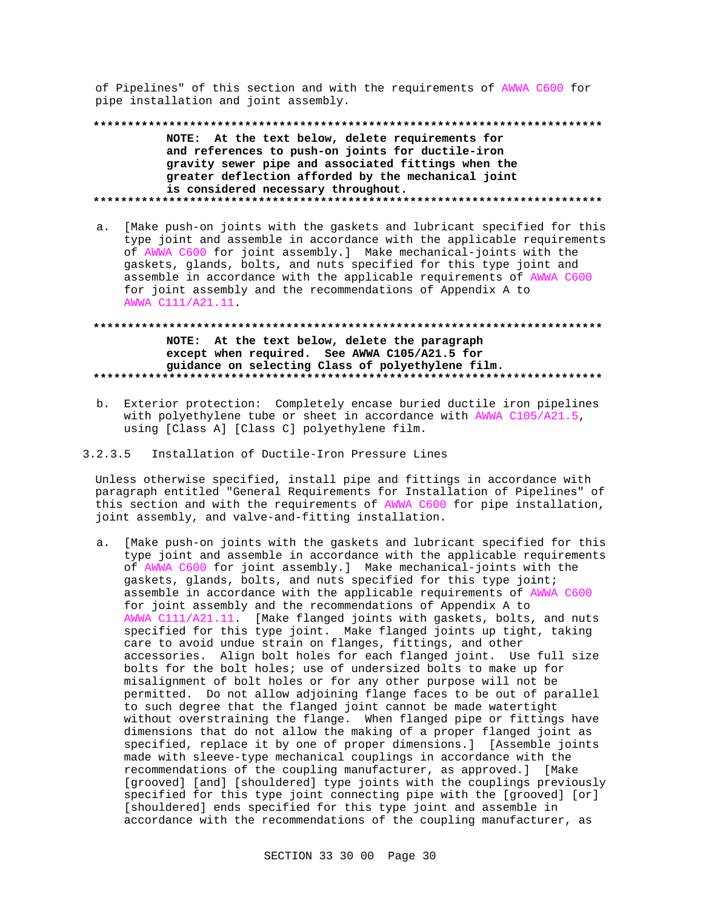of Pipelines" of this section and with the requirements of AWWA C600 for pipe installation and joint assembly.

NOTE: At the text below, delete requirements for and references to push-on joints for ductile-iron gravity sewer pipe and associated fittings when the greater deflection afforded by the mechanical joint is considered necessary throughout. 

a. [Make push-on joints with the gaskets and lubricant specified for this type joint and assemble in accordance with the applicable requirements of AWWA C600 for joint assembly.] Make mechanical-joints with the gaskets, glands, bolts, and nuts specified for this type joint and assemble in accordance with the applicable requirements of AWWA C600 for joint assembly and the recommendations of Appendix A to AWWA C111/A21.11.

## NOTE: At the text below, delete the paragraph except when required. See AWWA C105/A21.5 for guidance on selecting Class of polyethylene film.

- b. Exterior protection: Completely encase buried ductile iron pipelines with polyethylene tube or sheet in accordance with AWWA C105/A21.5, using [Class A] [Class C] polyethylene film.
- $3.2.3.5$ Installation of Ductile-Iron Pressure Lines

Unless otherwise specified, install pipe and fittings in accordance with paragraph entitled "General Requirements for Installation of Pipelines" of this section and with the requirements of AWWA C600 for pipe installation, joint assembly, and valve-and-fitting installation.

a. [Make push-on joints with the gaskets and lubricant specified for this type joint and assemble in accordance with the applicable requirements of AWWA C600 for joint assembly.] Make mechanical-joints with the gaskets, glands, bolts, and nuts specified for this type joint; assemble in accordance with the applicable requirements of AWWA C600 for joint assembly and the recommendations of Appendix A to AWWA Cl11/A21.11. [Make flanged joints with gaskets, bolts, and nuts specified for this type joint. Make flanged joints up tight, taking care to avoid undue strain on flanges, fittings, and other accessories. Align bolt holes for each flanged joint. Use full size bolts for the bolt holes; use of undersized bolts to make up for misalignment of bolt holes or for any other purpose will not be permitted. Do not allow adjoining flange faces to be out of parallel to such degree that the flanged joint cannot be made watertight without overstraining the flange. When flanged pipe or fittings have dimensions that do not allow the making of a proper flanged joint as specified, replace it by one of proper dimensions.] [Assemble joints made with sleeve-type mechanical couplings in accordance with the recommendations of the coupling manufacturer, as approved.] [Make [grooved] [and] [shouldered] type joints with the couplings previously specified for this type joint connecting pipe with the [grooved] [or] [shouldered] ends specified for this type joint and assemble in accordance with the recommendations of the coupling manufacturer, as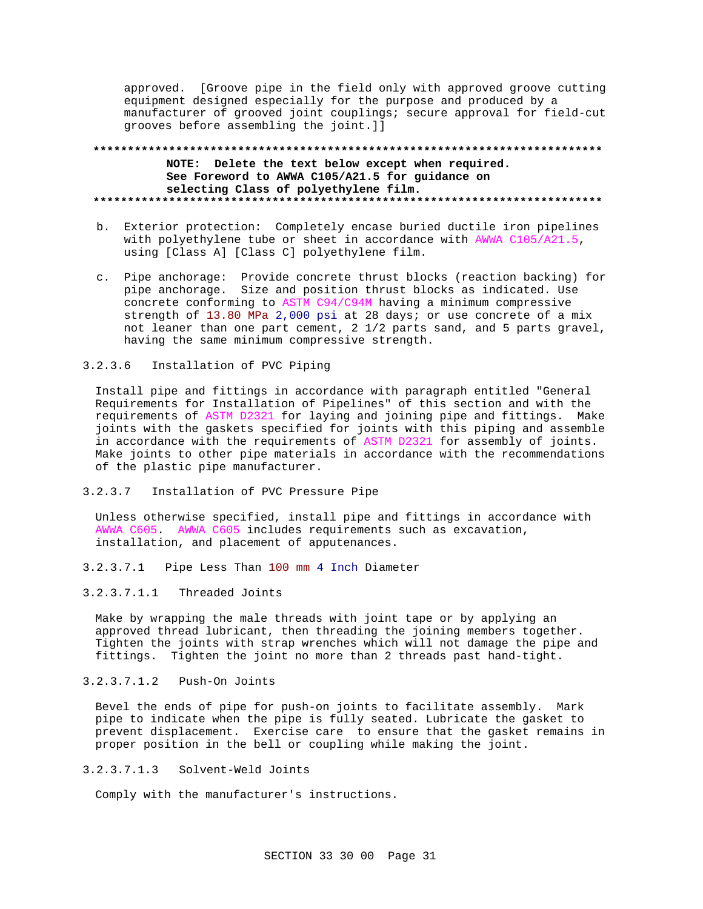approved. [Groove pipe in the field only with approved groove cutting equipment designed especially for the purpose and produced by a manufacturer of grooved joint couplings; secure approval for field-cut grooves before assembling the joint.]]

## **\*\*\*\*\*\*\*\*\*\*\*\*\*\*\*\*\*\*\*\*\*\*\*\*\*\*\*\*\*\*\*\*\*\*\*\*\*\*\*\*\*\*\*\*\*\*\*\*\*\*\*\*\*\*\*\*\*\*\*\*\*\*\*\*\*\*\*\*\*\*\*\*\*\* NOTE: Delete the text below except when required. See Foreword to AWWA C105/A21.5 for guidance on selecting Class of polyethylene film. \*\*\*\*\*\*\*\*\*\*\*\*\*\*\*\*\*\*\*\*\*\*\*\*\*\*\*\*\*\*\*\*\*\*\*\*\*\*\*\*\*\*\*\*\*\*\*\*\*\*\*\*\*\*\*\*\*\*\*\*\*\*\*\*\*\*\*\*\*\*\*\*\*\***

- b. Exterior protection: Completely encase buried ductile iron pipelines with polyethylene tube or sheet in accordance with AWWA C105/A21.5, using [Class A] [Class C] polyethylene film.
- c. Pipe anchorage: Provide concrete thrust blocks (reaction backing) for pipe anchorage. Size and position thrust blocks as indicated. Use concrete conforming to ASTM C94/C94M having a minimum compressive strength of 13.80 MPa 2,000 psi at 28 days; or use concrete of a mix not leaner than one part cement, 2 1/2 parts sand, and 5 parts gravel, having the same minimum compressive strength.

## 3.2.3.6 Installation of PVC Piping

Install pipe and fittings in accordance with paragraph entitled "General Requirements for Installation of Pipelines" of this section and with the requirements of ASTM D2321 for laying and joining pipe and fittings. Make joints with the gaskets specified for joints with this piping and assemble in accordance with the requirements of ASTM D2321 for assembly of joints. Make joints to other pipe materials in accordance with the recommendations of the plastic pipe manufacturer.

3.2.3.7 Installation of PVC Pressure Pipe

Unless otherwise specified, install pipe and fittings in accordance with AWWA C605. AWWA C605 includes requirements such as excavation, installation, and placement of apputenances.

- 3.2.3.7.1 Pipe Less Than 100 mm 4 Inch Diameter
- 3.2.3.7.1.1 Threaded Joints

Make by wrapping the male threads with joint tape or by applying an approved thread lubricant, then threading the joining members together. Tighten the joints with strap wrenches which will not damage the pipe and fittings. Tighten the joint no more than 2 threads past hand-tight.

## 3.2.3.7.1.2 Push-On Joints

Bevel the ends of pipe for push-on joints to facilitate assembly. Mark pipe to indicate when the pipe is fully seated. Lubricate the gasket to prevent displacement. Exercise care to ensure that the gasket remains in proper position in the bell or coupling while making the joint.

## 3.2.3.7.1.3 Solvent-Weld Joints

Comply with the manufacturer's instructions.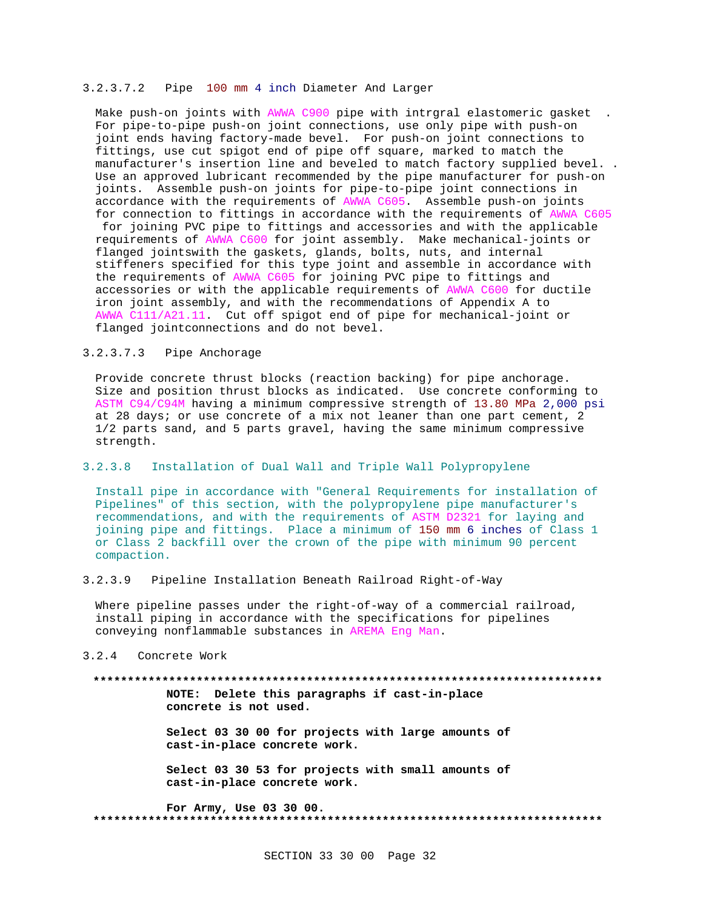## 3.2.3.7.2 Pipe 100 mm 4 inch Diameter And Larger

Make push-on joints with AWWA C900 pipe with intrgral elastomeric gasket . For pipe-to-pipe push-on joint connections, use only pipe with push-on joint ends having factory-made bevel. For push-on joint connections to fittings, use cut spigot end of pipe off square, marked to match the manufacturer's insertion line and beveled to match factory supplied bevel. . Use an approved lubricant recommended by the pipe manufacturer for push-on joints. Assemble push-on joints for pipe-to-pipe joint connections in accordance with the requirements of AWWA C605. Assemble push-on joints for connection to fittings in accordance with the requirements of AWWA C605 for joining PVC pipe to fittings and accessories and with the applicable requirements of AWWA C600 for joint assembly. Make mechanical-joints or flanged jointswith the gaskets, glands, bolts, nuts, and internal stiffeners specified for this type joint and assemble in accordance with the requirements of AWWA C605 for joining PVC pipe to fittings and accessories or with the applicable requirements of AWWA C600 for ductile iron joint assembly, and with the recommendations of Appendix A to AWWA C111/A21.11. Cut off spigot end of pipe for mechanical-joint or flanged jointconnections and do not bevel.

## 3.2.3.7.3 Pipe Anchorage

Provide concrete thrust blocks (reaction backing) for pipe anchorage. Size and position thrust blocks as indicated. Use concrete conforming to ASTM C94/C94M having a minimum compressive strength of 13.80 MPa 2,000 psi at 28 days; or use concrete of a mix not leaner than one part cement, 2 1/2 parts sand, and 5 parts gravel, having the same minimum compressive strength.

## 3.2.3.8 Installation of Dual Wall and Triple Wall Polypropylene

Install pipe in accordance with "General Requirements for installation of Pipelines" of this section, with the polypropylene pipe manufacturer's recommendations, and with the requirements of ASTM D2321 for laying and joining pipe and fittings. Place a minimum of 150 mm 6 inches of Class 1 or Class 2 backfill over the crown of the pipe with minimum 90 percent compaction.

## 3.2.3.9 Pipeline Installation Beneath Railroad Right-of-Way

Where pipeline passes under the right-of-way of a commercial railroad, install piping in accordance with the specifications for pipelines conveying nonflammable substances in AREMA Eng Man.

## 3.2.4 Concrete Work

#### **\*\*\*\*\*\*\*\*\*\*\*\*\*\*\*\*\*\*\*\*\*\*\*\*\*\*\*\*\*\*\*\*\*\*\*\*\*\*\*\*\*\*\*\*\*\*\*\*\*\*\*\*\*\*\*\*\*\*\*\*\*\*\*\*\*\*\*\*\*\*\*\*\*\***

**NOTE: Delete this paragraphs if cast-in-place concrete is not used.**

**Select 03 30 00 for projects with large amounts of cast-in-place concrete work.**

**Select 03 30 53 for projects with small amounts of cast-in-place concrete work.**

**For Army, Use 03 30 00. \*\*\*\*\*\*\*\*\*\*\*\*\*\*\*\*\*\*\*\*\*\*\*\*\*\*\*\*\*\*\*\*\*\*\*\*\*\*\*\*\*\*\*\*\*\*\*\*\*\*\*\*\*\*\*\*\*\*\*\*\*\*\*\*\*\*\*\*\*\*\*\*\*\***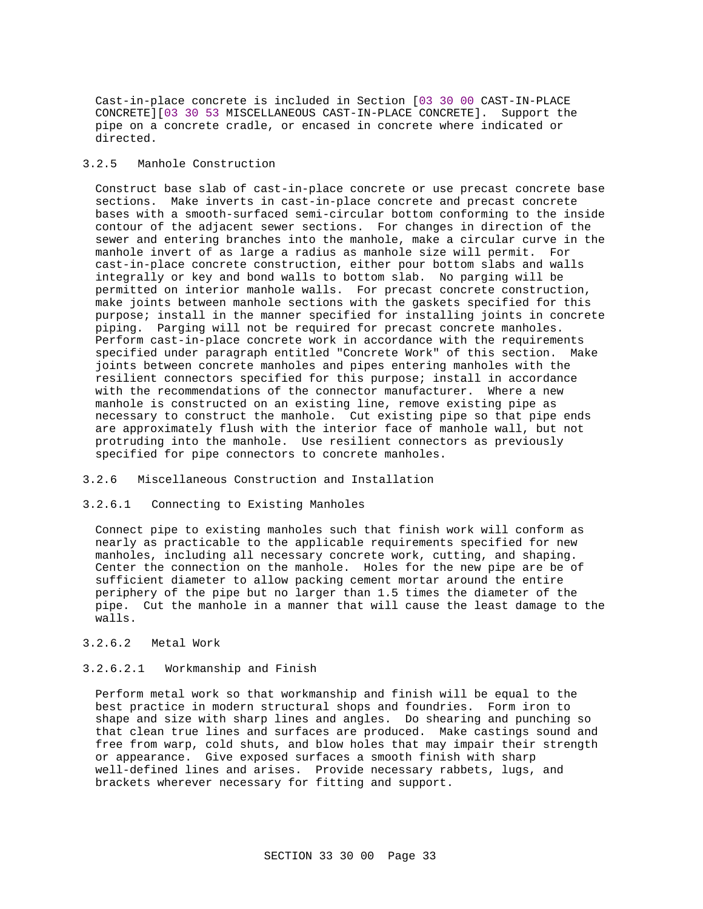Cast-in-place concrete is included in Section [03 30 00 CAST-IN-PLACE CONCRETE][03 30 53 MISCELLANEOUS CAST-IN-PLACE CONCRETE]. Support the pipe on a concrete cradle, or encased in concrete where indicated or directed.

## 3.2.5 Manhole Construction

Construct base slab of cast-in-place concrete or use precast concrete base sections. Make inverts in cast-in-place concrete and precast concrete bases with a smooth-surfaced semi-circular bottom conforming to the inside contour of the adjacent sewer sections. For changes in direction of the sewer and entering branches into the manhole, make a circular curve in the manhole invert of as large a radius as manhole size will permit. For cast-in-place concrete construction, either pour bottom slabs and walls integrally or key and bond walls to bottom slab. No parging will be permitted on interior manhole walls. For precast concrete construction, make joints between manhole sections with the gaskets specified for this purpose; install in the manner specified for installing joints in concrete piping. Parging will not be required for precast concrete manholes. Perform cast-in-place concrete work in accordance with the requirements specified under paragraph entitled "Concrete Work" of this section. Make joints between concrete manholes and pipes entering manholes with the resilient connectors specified for this purpose; install in accordance with the recommendations of the connector manufacturer. Where a new manhole is constructed on an existing line, remove existing pipe as necessary to construct the manhole. Cut existing pipe so that pipe ends are approximately flush with the interior face of manhole wall, but not protruding into the manhole. Use resilient connectors as previously specified for pipe connectors to concrete manholes.

## 3.2.6 Miscellaneous Construction and Installation

## 3.2.6.1 Connecting to Existing Manholes

Connect pipe to existing manholes such that finish work will conform as nearly as practicable to the applicable requirements specified for new manholes, including all necessary concrete work, cutting, and shaping. Center the connection on the manhole. Holes for the new pipe are be of sufficient diameter to allow packing cement mortar around the entire periphery of the pipe but no larger than 1.5 times the diameter of the pipe. Cut the manhole in a manner that will cause the least damage to the walls.

## 3.2.6.2 Metal Work

## 3.2.6.2.1 Workmanship and Finish

Perform metal work so that workmanship and finish will be equal to the best practice in modern structural shops and foundries. Form iron to shape and size with sharp lines and angles. Do shearing and punching so that clean true lines and surfaces are produced. Make castings sound and free from warp, cold shuts, and blow holes that may impair their strength or appearance. Give exposed surfaces a smooth finish with sharp well-defined lines and arises. Provide necessary rabbets, lugs, and brackets wherever necessary for fitting and support.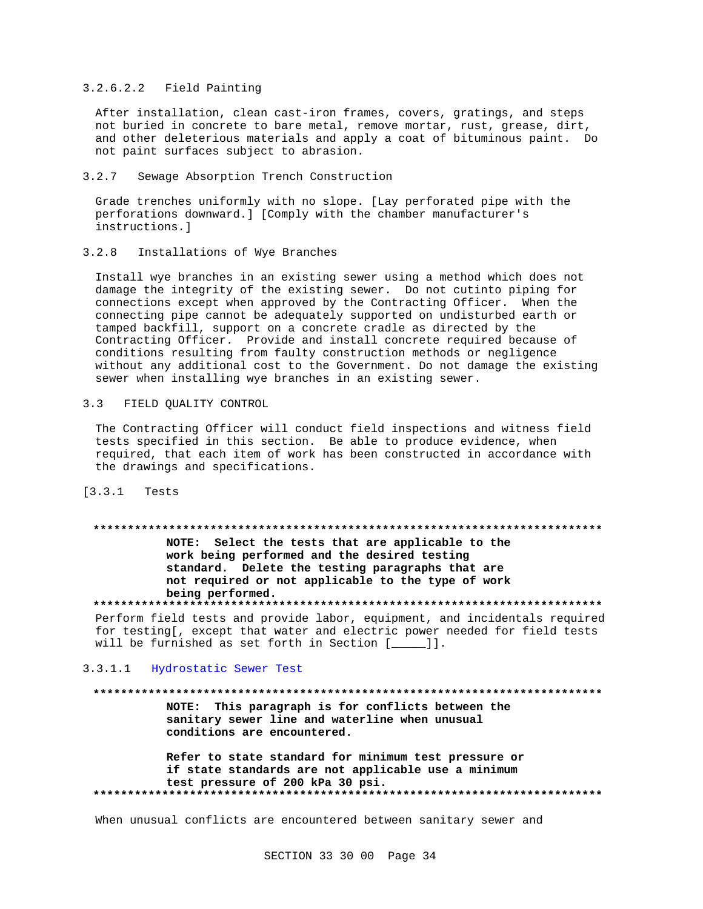## 3.2.6.2.2 Field Painting

After installation, clean cast-iron frames, covers, gratings, and steps not buried in concrete to bare metal, remove mortar, rust, grease, dirt, and other deleterious materials and apply a coat of bituminous paint. Do not paint surfaces subject to abrasion.

#### $3.2.7$ Sewage Absorption Trench Construction

Grade trenches uniformly with no slope. [Lay perforated pipe with the perforations downward.] [Comply with the chamber manufacturer's instructions.]

#### $3.2.8$ Installations of Wye Branches

Install wye branches in an existing sewer using a method which does not damage the integrity of the existing sewer. Do not cutinto piping for connections except when approved by the Contracting Officer. When the connecting pipe cannot be adequately supported on undisturbed earth or tamped backfill, support on a concrete cradle as directed by the Contracting Officer. Provide and install concrete required because of conditions resulting from faulty construction methods or negligence without any additional cost to the Government. Do not damage the existing sewer when installing wye branches in an existing sewer.

#### $3.3$ FIELD QUALITY CONTROL

The Contracting Officer will conduct field inspections and witness field tests specified in this section. Be able to produce evidence, when required, that each item of work has been constructed in accordance with the drawings and specifications.

## $[3.3.1$  Tests

#### 

NOTE: Select the tests that are applicable to the work being performed and the desired testing standard. Delete the testing paragraphs that are not required or not applicable to the type of work being performed.

Perform field tests and provide labor, equipment, and incidentals required for testing[, except that water and electric power needed for field tests will be furnished as set forth in Section [\_\_\_\_]].

## 3.3.1.1 Hydrostatic Sewer Test

#### 

NOTE: This paragraph is for conflicts between the sanitary sewer line and waterline when unusual conditions are encountered.

Refer to state standard for minimum test pressure or if state standards are not applicable use a minimum test pressure of 200 kPa 30 psi. 

When unusual conflicts are encountered between sanitary sewer and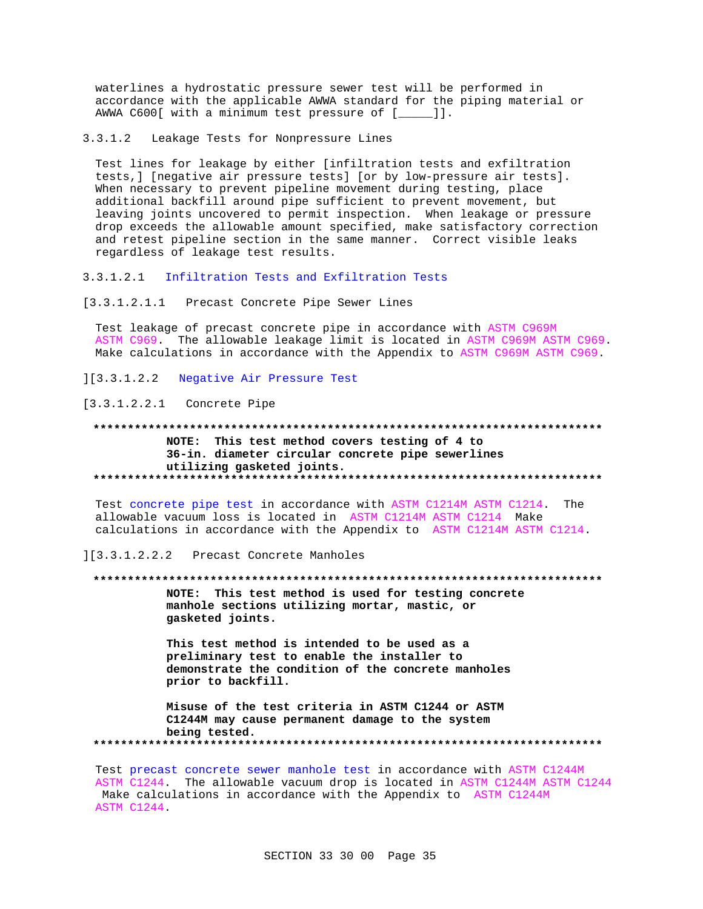waterlines a hydrostatic pressure sewer test will be performed in accordance with the applicable AWWA standard for the piping material or AWWA C600[ with a minimum test pressure of [\_\_\_\_]].

 $3.3.1.2$ Leakage Tests for Nonpressure Lines

Test lines for leakage by either [infiltration tests and exfiltration tests, ] [negative air pressure tests] [or by low-pressure air tests]. When necessary to prevent pipeline movement during testing, place additional backfill around pipe sufficient to prevent movement, but leaving joints uncovered to permit inspection. When leakage or pressure drop exceeds the allowable amount specified, make satisfactory correction and retest pipeline section in the same manner. Correct visible leaks regardless of leakage test results.

3.3.1.2.1 Infiltration Tests and Exfiltration Tests

[3.3.1.2.1.1 Precast Concrete Pipe Sewer Lines

Test leakage of precast concrete pipe in accordance with ASTM C969M ASTM C969. The allowable leakage limit is located in ASTM C969M ASTM C969. Make calculations in accordance with the Appendix to ASTM C969M ASTM C969.

Negative Air Pressure Test  $]$ [3.3.1.2.2]

 $[3.3.1.2.2.1$  Concrete Pipe

NOTE: This test method covers testing of 4 to 36-in. diameter circular concrete pipe sewerlines utilizing gasketed joints. 

Test concrete pipe test in accordance with ASTM C1214M ASTM C1214. The allowable vacuum loss is located in ASTM C1214M ASTM C1214 Make calculations in accordance with the Appendix to ASTM C1214M ASTM C1214.

][3.3.1.2.2.2 Precast Concrete Manholes

NOTE: This test method is used for testing concrete manhole sections utilizing mortar, mastic, or gasketed joints.

This test method is intended to be used as a preliminary test to enable the installer to demonstrate the condition of the concrete manholes prior to backfill.

Misuse of the test criteria in ASTM C1244 or ASTM C1244M may cause permanent damage to the system being tested. 

Test precast concrete sewer manhole test in accordance with ASTM C1244M ASTM C1244. The allowable vacuum drop is located in ASTM C1244M ASTM C1244 Make calculations in accordance with the Appendix to ASTM C1244M ASTM C1244.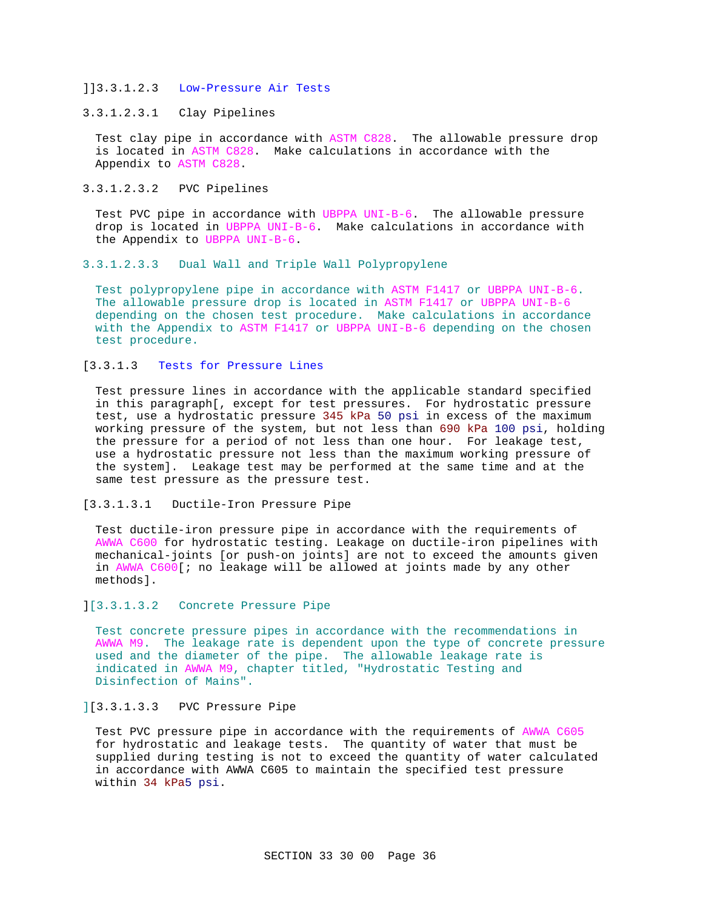## ]]3.3.1.2.3 Low-Pressure Air Tests

## 3.3.1.2.3.1 Clay Pipelines

Test clay pipe in accordance with ASTM C828. The allowable pressure drop is located in ASTM C828. Make calculations in accordance with the Appendix to ASTM C828.

## 3.3.1.2.3.2 PVC Pipelines

Test PVC pipe in accordance with UBPPA UNI-B-6. The allowable pressure drop is located in UBPPA UNI-B-6. Make calculations in accordance with the Appendix to UBPPA UNI-B-6.

## 3.3.1.2.3.3 Dual Wall and Triple Wall Polypropylene

Test polypropylene pipe in accordance with ASTM F1417 or UBPPA UNI-B-6. The allowable pressure drop is located in ASTM F1417 or UBPPA UNI-B-6 depending on the chosen test procedure. Make calculations in accordance with the Appendix to ASTM F1417 or UBPPA UNI-B-6 depending on the chosen test procedure.

## [3.3.1.3 Tests for Pressure Lines

Test pressure lines in accordance with the applicable standard specified in this paragraph[, except for test pressures. For hydrostatic pressure test, use a hydrostatic pressure 345 kPa 50 psi in excess of the maximum working pressure of the system, but not less than 690 kPa 100 psi, holding the pressure for a period of not less than one hour. For leakage test, use a hydrostatic pressure not less than the maximum working pressure of the system]. Leakage test may be performed at the same time and at the same test pressure as the pressure test.

## [3.3.1.3.1 Ductile-Iron Pressure Pipe

Test ductile-iron pressure pipe in accordance with the requirements of AWWA C600 for hydrostatic testing. Leakage on ductile-iron pipelines with mechanical-joints [or push-on joints] are not to exceed the amounts given in AWWA C600[; no leakage will be allowed at joints made by any other methods].

## ][3.3.1.3.2 Concrete Pressure Pipe

Test concrete pressure pipes in accordance with the recommendations in AWWA M9. The leakage rate is dependent upon the type of concrete pressure used and the diameter of the pipe. The allowable leakage rate is indicated in AWWA M9, chapter titled, "Hydrostatic Testing and Disinfection of Mains".

## ][3.3.1.3.3 PVC Pressure Pipe

Test PVC pressure pipe in accordance with the requirements of AWWA C605 for hydrostatic and leakage tests. The quantity of water that must be supplied during testing is not to exceed the quantity of water calculated in accordance with AWWA C605 to maintain the specified test pressure within 34 kPa5 psi.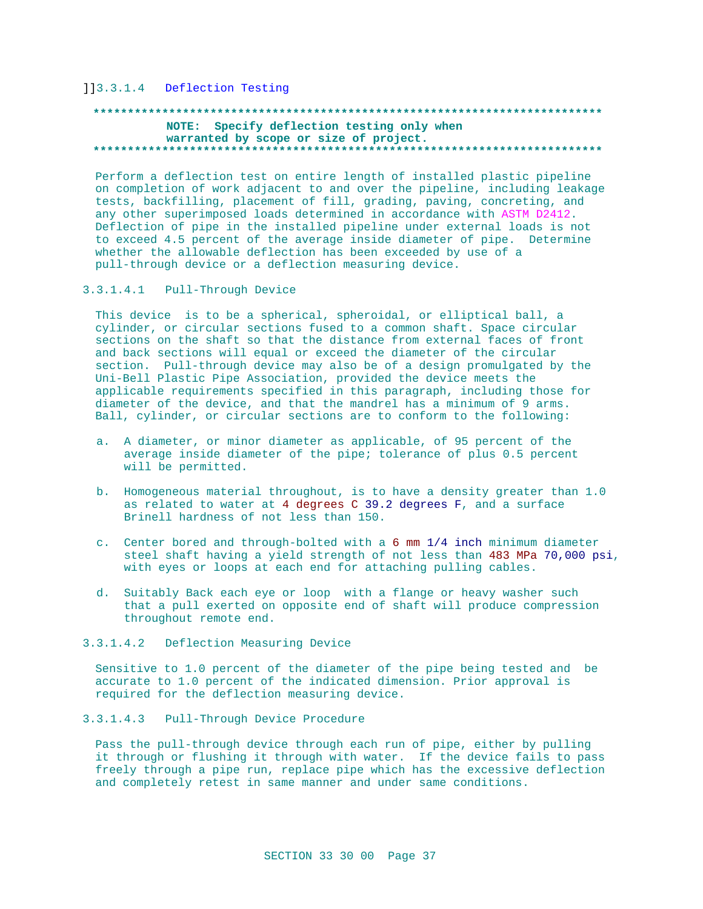## ]]3.3.1.4 Deflection Testing

## **\*\*\*\*\*\*\*\*\*\*\*\*\*\*\*\*\*\*\*\*\*\*\*\*\*\*\*\*\*\*\*\*\*\*\*\*\*\*\*\*\*\*\*\*\*\*\*\*\*\*\*\*\*\*\*\*\*\*\*\*\*\*\*\*\*\*\*\*\*\*\*\*\*\* NOTE: Specify deflection testing only when warranted by scope or size of project. \*\*\*\*\*\*\*\*\*\*\*\*\*\*\*\*\*\*\*\*\*\*\*\*\*\*\*\*\*\*\*\*\*\*\*\*\*\*\*\*\*\*\*\*\*\*\*\*\*\*\*\*\*\*\*\*\*\*\*\*\*\*\*\*\*\*\*\*\*\*\*\*\*\***

Perform a deflection test on entire length of installed plastic pipeline on completion of work adjacent to and over the pipeline, including leakage tests, backfilling, placement of fill, grading, paving, concreting, and any other superimposed loads determined in accordance with ASTM D2412. Deflection of pipe in the installed pipeline under external loads is not to exceed 4.5 percent of the average inside diameter of pipe. Determine whether the allowable deflection has been exceeded by use of a pull-through device or a deflection measuring device.

3.3.1.4.1 Pull-Through Device

This device is to be a spherical, spheroidal, or elliptical ball, a cylinder, or circular sections fused to a common shaft. Space circular sections on the shaft so that the distance from external faces of front and back sections will equal or exceed the diameter of the circular section. Pull-through device may also be of a design promulgated by the Uni-Bell Plastic Pipe Association, provided the device meets the applicable requirements specified in this paragraph, including those for diameter of the device, and that the mandrel has a minimum of 9 arms. Ball, cylinder, or circular sections are to conform to the following:

- a. A diameter, or minor diameter as applicable, of 95 percent of the average inside diameter of the pipe; tolerance of plus 0.5 percent will be permitted.
- b. Homogeneous material throughout, is to have a density greater than 1.0 as related to water at 4 degrees C 39.2 degrees F, and a surface Brinell hardness of not less than 150.
- c. Center bored and through-bolted with a 6 mm 1/4 inch minimum diameter steel shaft having a yield strength of not less than 483 MPa 70,000 psi, with eyes or loops at each end for attaching pulling cables.
- d. Suitably Back each eye or loop with a flange or heavy washer such that a pull exerted on opposite end of shaft will produce compression throughout remote end.
- 3.3.1.4.2 Deflection Measuring Device

Sensitive to 1.0 percent of the diameter of the pipe being tested and be accurate to 1.0 percent of the indicated dimension. Prior approval is required for the deflection measuring device.

## 3.3.1.4.3 Pull-Through Device Procedure

Pass the pull-through device through each run of pipe, either by pulling it through or flushing it through with water. If the device fails to pass freely through a pipe run, replace pipe which has the excessive deflection and completely retest in same manner and under same conditions.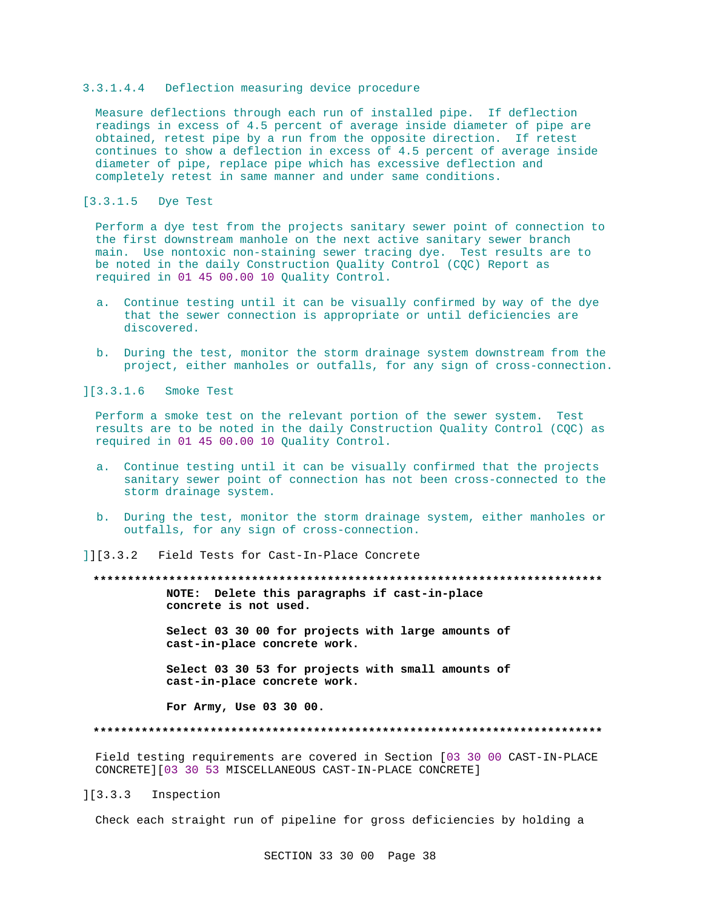## 3.3.1.4.4 Deflection measuring device procedure

Measure deflections through each run of installed pipe. If deflection readings in excess of 4.5 percent of average inside diameter of pipe are obtained, retest pipe by a run from the opposite direction. If retest continues to show a deflection in excess of 4.5 percent of average inside diameter of pipe, replace pipe which has excessive deflection and completely retest in same manner and under same conditions.

[3.3.1.5 Dye Test

Perform a dye test from the projects sanitary sewer point of connection to the first downstream manhole on the next active sanitary sewer branch main. Use nontoxic non-staining sewer tracing dye. Test results are to be noted in the daily Construction Quality Control (CQC) Report as required in 01 45 00.00 10 Quality Control.

- a. Continue testing until it can be visually confirmed by way of the dye that the sewer connection is appropriate or until deficiencies are discovered.
- b. During the test, monitor the storm drainage system downstream from the project, either manholes or outfalls, for any sign of cross-connection.

][3.3.1.6 Smoke Test

Perform a smoke test on the relevant portion of the sewer system. Test results are to be noted in the daily Construction Quality Control (CQC) as required in 01 45 00.00 10 Quality Control.

- a. Continue testing until it can be visually confirmed that the projects sanitary sewer point of connection has not been cross-connected to the storm drainage system.
- b. During the test, monitor the storm drainage system, either manholes or outfalls, for any sign of cross-connection.

]][3.3.2 Field Tests for Cast-In-Place Concrete

**\*\*\*\*\*\*\*\*\*\*\*\*\*\*\*\*\*\*\*\*\*\*\*\*\*\*\*\*\*\*\*\*\*\*\*\*\*\*\*\*\*\*\*\*\*\*\*\*\*\*\*\*\*\*\*\*\*\*\*\*\*\*\*\*\*\*\*\*\*\*\*\*\*\* NOTE: Delete this paragraphs if cast-in-place concrete is not used.**

> **Select 03 30 00 for projects with large amounts of cast-in-place concrete work.**

> **Select 03 30 53 for projects with small amounts of cast-in-place concrete work.**

**For Army, Use 03 30 00.**

#### **\*\*\*\*\*\*\*\*\*\*\*\*\*\*\*\*\*\*\*\*\*\*\*\*\*\*\*\*\*\*\*\*\*\*\*\*\*\*\*\*\*\*\*\*\*\*\*\*\*\*\*\*\*\*\*\*\*\*\*\*\*\*\*\*\*\*\*\*\*\*\*\*\*\***

Field testing requirements are covered in Section [03 30 00 CAST-IN-PLACE CONCRETE][03 30 53 MISCELLANEOUS CAST-IN-PLACE CONCRETE]

][3.3.3 Inspection

Check each straight run of pipeline for gross deficiencies by holding a